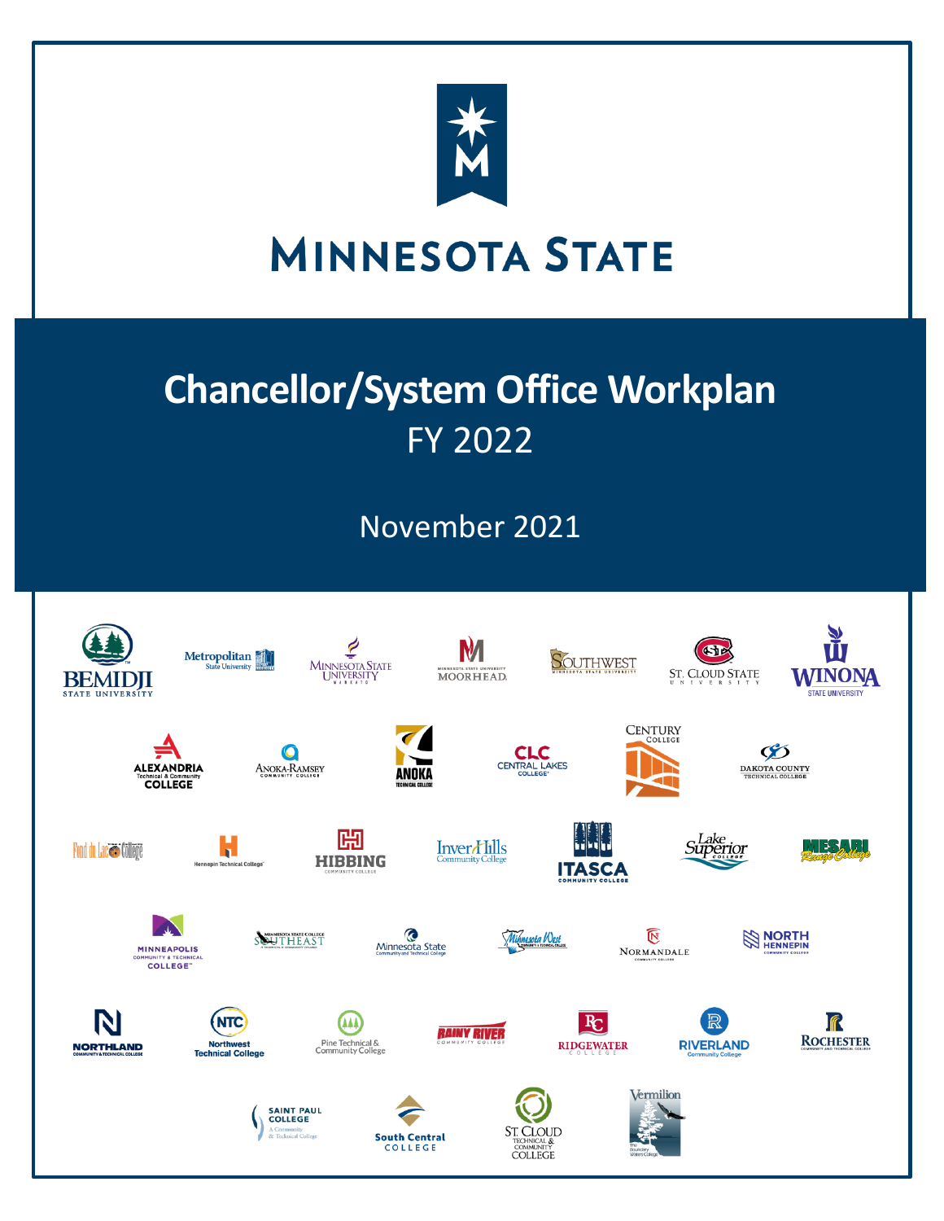

# **MINNESOTA STATE**

# **Chancellor/System Office Workplan** FY 2022

November 2021

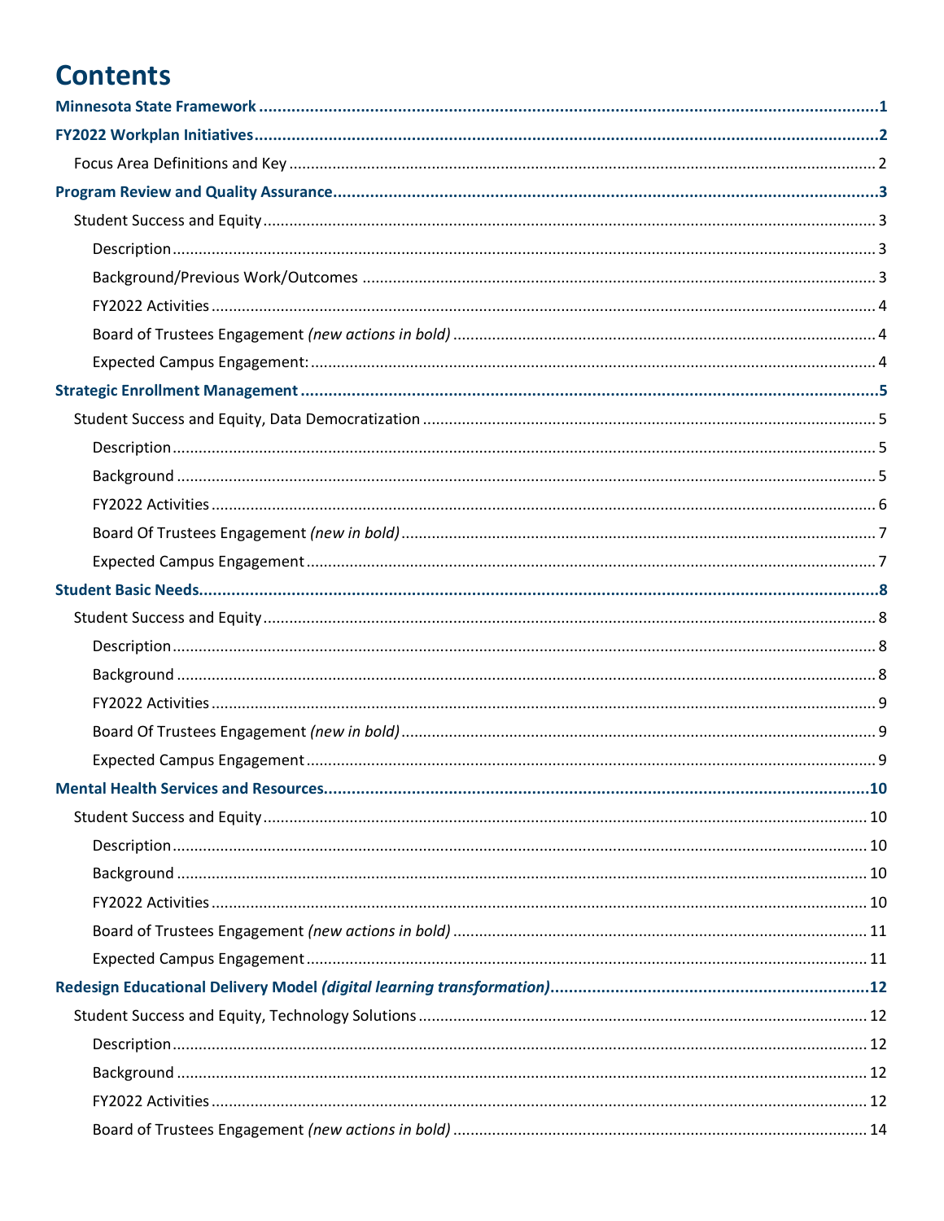# **Contents**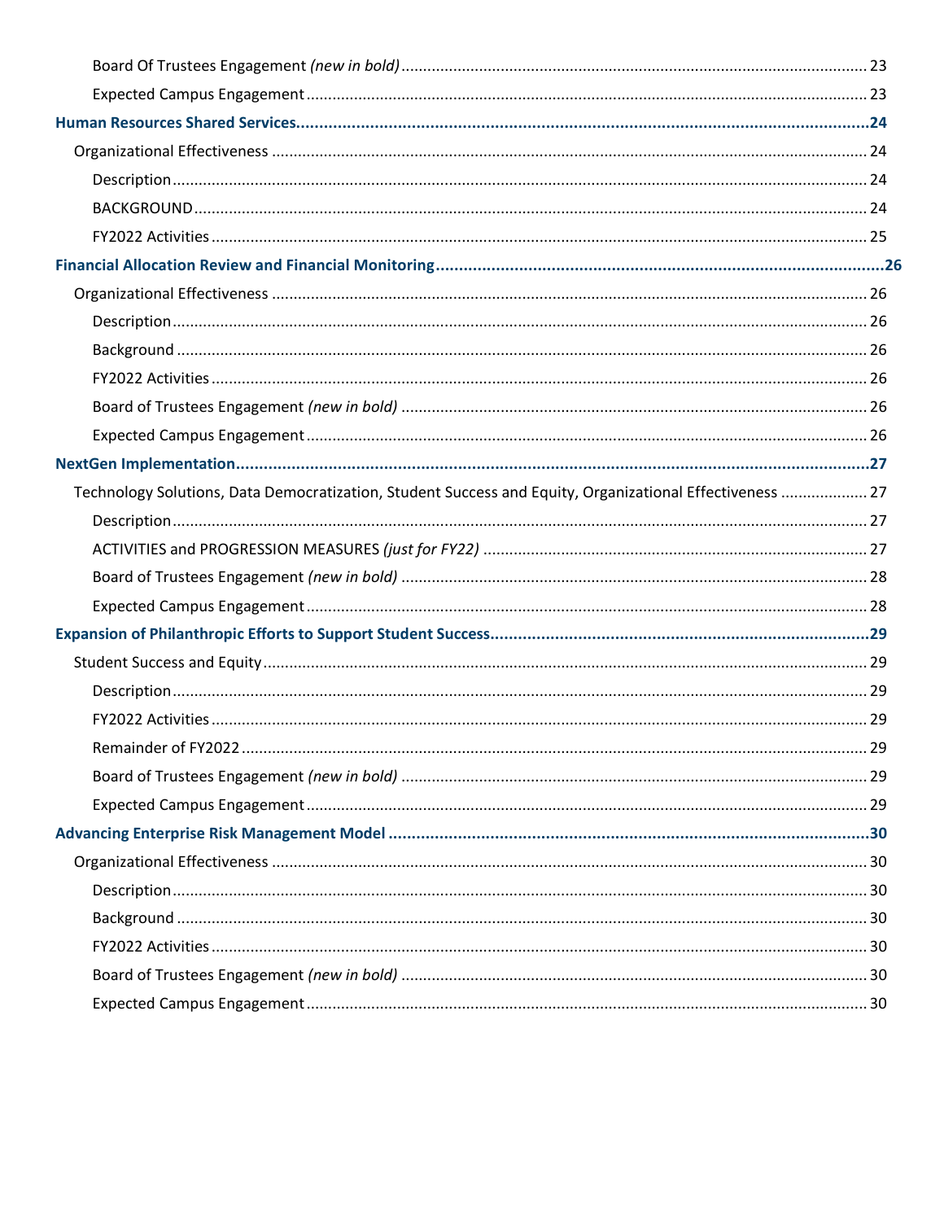| Technology Solutions, Data Democratization, Student Success and Equity, Organizational Effectiveness  27 |  |
|----------------------------------------------------------------------------------------------------------|--|
|                                                                                                          |  |
|                                                                                                          |  |
|                                                                                                          |  |
|                                                                                                          |  |
|                                                                                                          |  |
|                                                                                                          |  |
|                                                                                                          |  |
|                                                                                                          |  |
|                                                                                                          |  |
|                                                                                                          |  |
|                                                                                                          |  |
|                                                                                                          |  |
|                                                                                                          |  |
|                                                                                                          |  |
|                                                                                                          |  |
|                                                                                                          |  |
|                                                                                                          |  |
|                                                                                                          |  |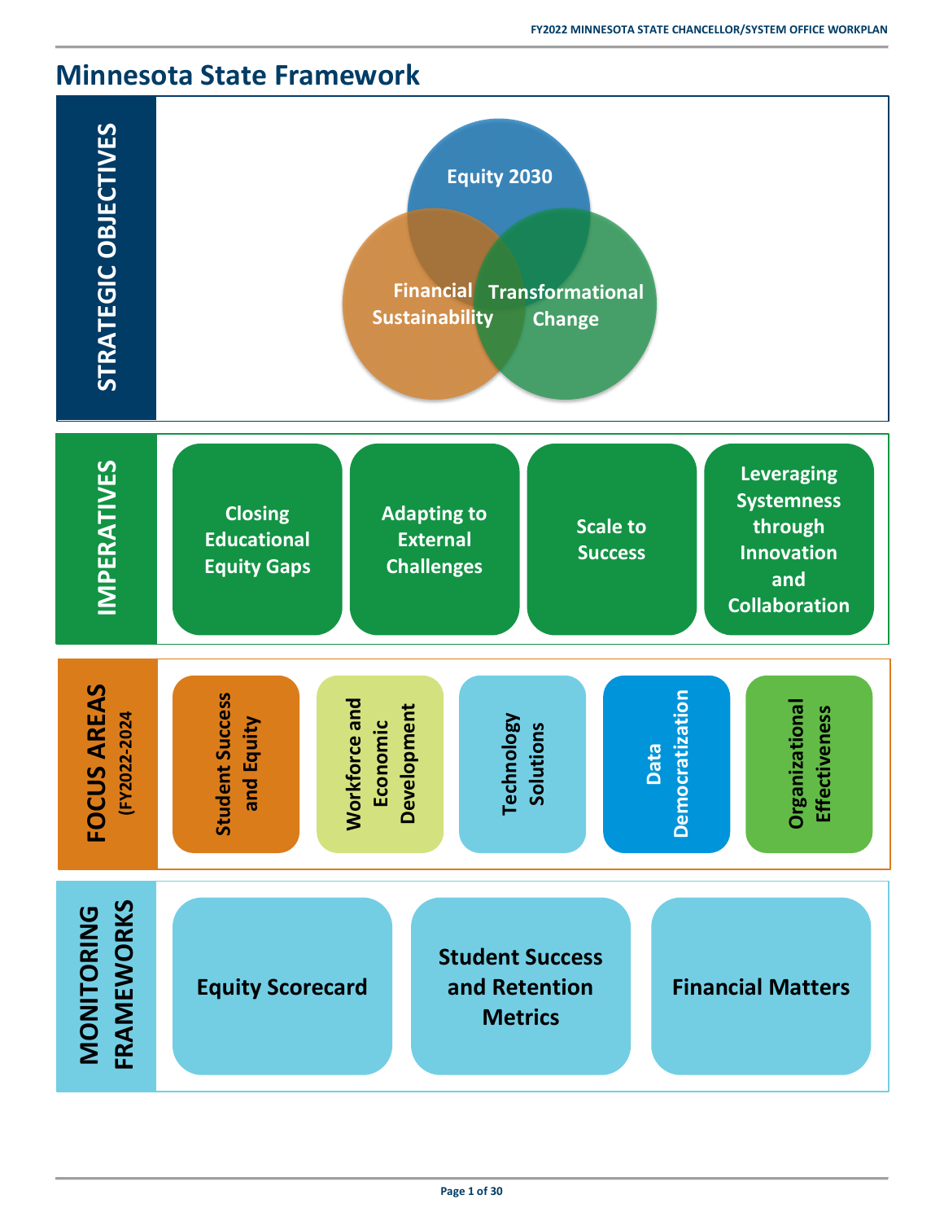# <span id="page-4-0"></span>**Minnesota State Framework**

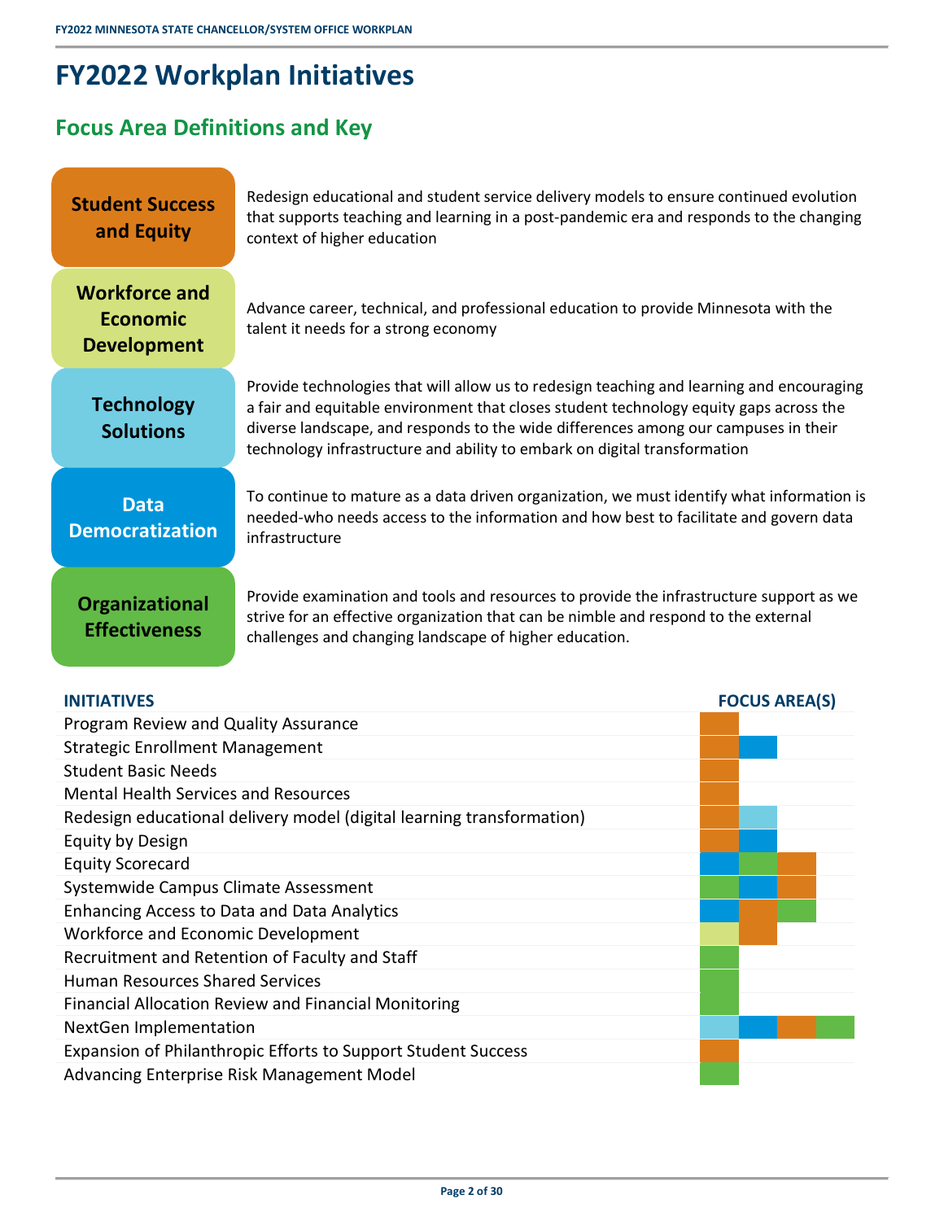# <span id="page-5-0"></span>**FY2022 Workplan Initiatives**

# <span id="page-5-1"></span>**Focus Area Definitions and Key**

| <b>Student Success</b><br>and Equity                          | Redesign educational and student service delivery models to ensure continued evolution<br>that supports teaching and learning in a post-pandemic era and responds to the changing<br>context of higher education                                                                                                                                        |
|---------------------------------------------------------------|---------------------------------------------------------------------------------------------------------------------------------------------------------------------------------------------------------------------------------------------------------------------------------------------------------------------------------------------------------|
| <b>Workforce and</b><br><b>Economic</b><br><b>Development</b> | Advance career, technical, and professional education to provide Minnesota with the<br>talent it needs for a strong economy                                                                                                                                                                                                                             |
| <b>Technology</b><br><b>Solutions</b>                         | Provide technologies that will allow us to redesign teaching and learning and encouraging<br>a fair and equitable environment that closes student technology equity gaps across the<br>diverse landscape, and responds to the wide differences among our campuses in their<br>technology infrastructure and ability to embark on digital transformation |
| <b>Data</b><br><b>Democratization</b>                         | To continue to mature as a data driven organization, we must identify what information is<br>needed-who needs access to the information and how best to facilitate and govern data<br>infrastructure                                                                                                                                                    |
| <b>Organizational</b><br><b>Effectiveness</b>                 | Provide examination and tools and resources to provide the infrastructure support as we<br>strive for an effective organization that can be nimble and respond to the external<br>challenges and changing landscape of higher education.                                                                                                                |

| <b>INITIATIVES</b>                                                    | <b>FOCUS AREA(S)</b> |
|-----------------------------------------------------------------------|----------------------|
| Program Review and Quality Assurance                                  |                      |
| <b>Strategic Enrollment Management</b>                                |                      |
| <b>Student Basic Needs</b>                                            |                      |
| <b>Mental Health Services and Resources</b>                           |                      |
| Redesign educational delivery model (digital learning transformation) |                      |
| Equity by Design                                                      |                      |
| <b>Equity Scorecard</b>                                               |                      |
| Systemwide Campus Climate Assessment                                  |                      |
| <b>Enhancing Access to Data and Data Analytics</b>                    |                      |
| Workforce and Economic Development                                    |                      |
| Recruitment and Retention of Faculty and Staff                        |                      |
| <b>Human Resources Shared Services</b>                                |                      |
| Financial Allocation Review and Financial Monitoring                  |                      |
| NextGen Implementation                                                |                      |
| Expansion of Philanthropic Efforts to Support Student Success         |                      |
| Advancing Enterprise Risk Management Model                            |                      |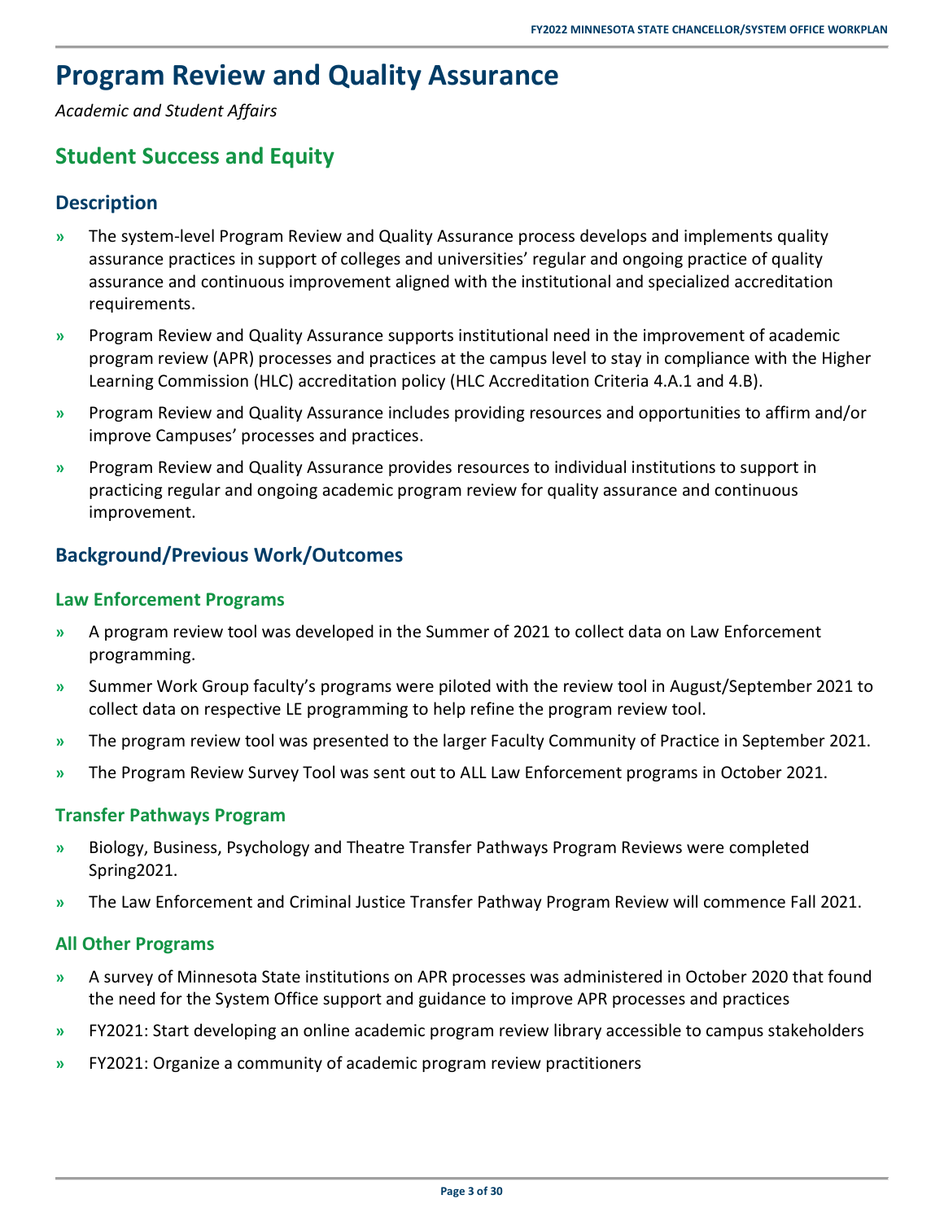# <span id="page-6-0"></span>**Program Review and Quality Assurance**

<span id="page-6-1"></span>*Academic and Student Affairs*

### **Student Success and Equity**

### <span id="page-6-2"></span>**Description**

- **»** The system-level Program Review and Quality Assurance process develops and implements quality assurance practices in support of colleges and universities' regular and ongoing practice of quality assurance and continuous improvement aligned with the institutional and specialized accreditation requirements.
- **»** Program Review and Quality Assurance supports institutional need in the improvement of academic program review (APR) processes and practices at the campus level to stay in compliance with the Higher Learning Commission (HLC) accreditation policy (HLC Accreditation Criteria 4.A.1 and 4.B).
- **»** Program Review and Quality Assurance includes providing resources and opportunities to affirm and/or improve Campuses' processes and practices.
- **»** Program Review and Quality Assurance provides resources to individual institutions to support in practicing regular and ongoing academic program review for quality assurance and continuous improvement.

### <span id="page-6-3"></span>**Background/Previous Work/Outcomes**

### **Law Enforcement Programs**

- **»** A program review tool was developed in the Summer of 2021 to collect data on Law Enforcement programming.
- **»** Summer Work Group faculty's programs were piloted with the review tool in August/September 2021 to collect data on respective LE programming to help refine the program review tool.
- **»** The program review tool was presented to the larger Faculty Community of Practice in September 2021.
- **»** The Program Review Survey Tool was sent out to ALL Law Enforcement programs in October 2021.

### **Transfer Pathways Program**

- **»** Biology, Business, Psychology and Theatre Transfer Pathways Program Reviews were completed Spring2021.
- **»** The Law Enforcement and Criminal Justice Transfer Pathway Program Review will commence Fall 2021.

### **All Other Programs**

- **»** A survey of Minnesota State institutions on APR processes was administered in October 2020 that found the need for the System Office support and guidance to improve APR processes and practices
- **»** FY2021: Start developing an online academic program review library accessible to campus stakeholders
- **»** FY2021: Organize a community of academic program review practitioners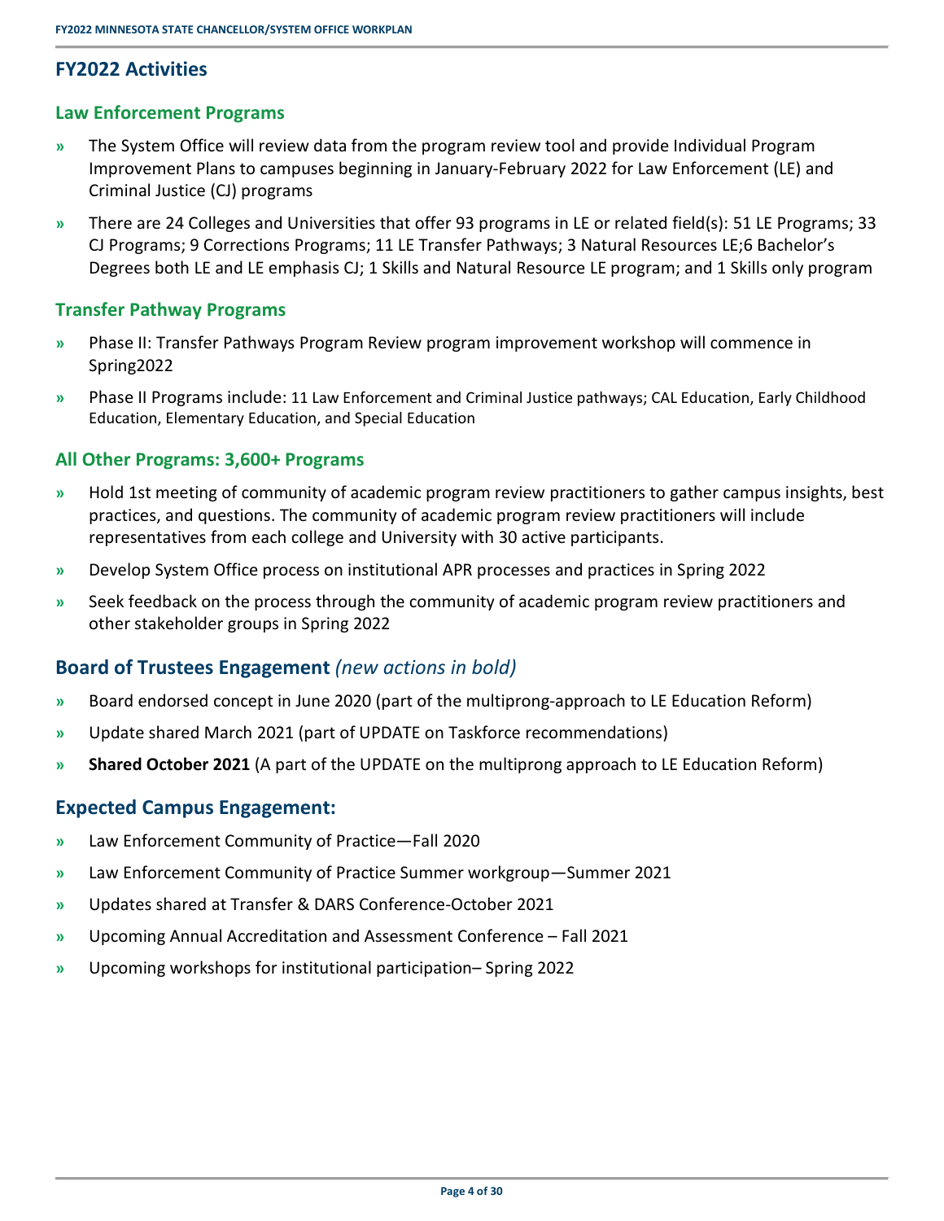### <span id="page-7-0"></span>**FY2022 Activities**

#### **Law Enforcement Programs**

- **»** The System Office will review data from the program review tool and provide Individual Program Improvement Plans to campuses beginning in January-February 2022 for Law Enforcement (LE) and Criminal Justice (CJ) programs
- **»** There are 24 Colleges and Universities that offer 93 programs in LE or related field(s): 51 LE Programs; 33 CJ Programs; 9 Corrections Programs; 11 LE Transfer Pathways; 3 Natural Resources LE;6 Bachelor's Degrees both LE and LE emphasis CJ; 1 Skills and Natural Resource LE program; and 1 Skills only program

#### **Transfer Pathway Programs**

- **»** Phase II: Transfer Pathways Program Review program improvement workshop will commence in Spring2022
- **»** Phase II Programs include: 11 Law Enforcement and Criminal Justice pathways; CAL Education, Early Childhood Education, Elementary Education, and Special Education

#### **All Other Programs: 3,600+ Programs**

- **»** Hold 1st meeting of community of academic program review practitioners to gather campus insights, best practices, and questions. The community of academic program review practitioners will include representatives from each college and University with 30 active participants.
- **»** Develop System Office process on institutional APR processes and practices in Spring 2022
- **»** Seek feedback on the process through the community of academic program review practitioners and other stakeholder groups in Spring 2022

### <span id="page-7-1"></span>**Board of Trustees Engagement** *(new actions in bold)*

- **»** Board endorsed concept in June 2020 (part of the multiprong-approach to LE Education Reform)
- **»** Update shared March 2021 (part of UPDATE on Taskforce recommendations)
- <span id="page-7-2"></span>**» Shared October 2021** (A part of the UPDATE on the multiprong approach to LE Education Reform)

- **»** Law Enforcement Community of Practice—Fall 2020
- **»** Law Enforcement Community of Practice Summer workgroup—Summer 2021
- **»** Updates shared at Transfer & DARS Conference-October 2021
- **»** Upcoming Annual Accreditation and Assessment Conference Fall 2021
- **»** Upcoming workshops for institutional participation– Spring 2022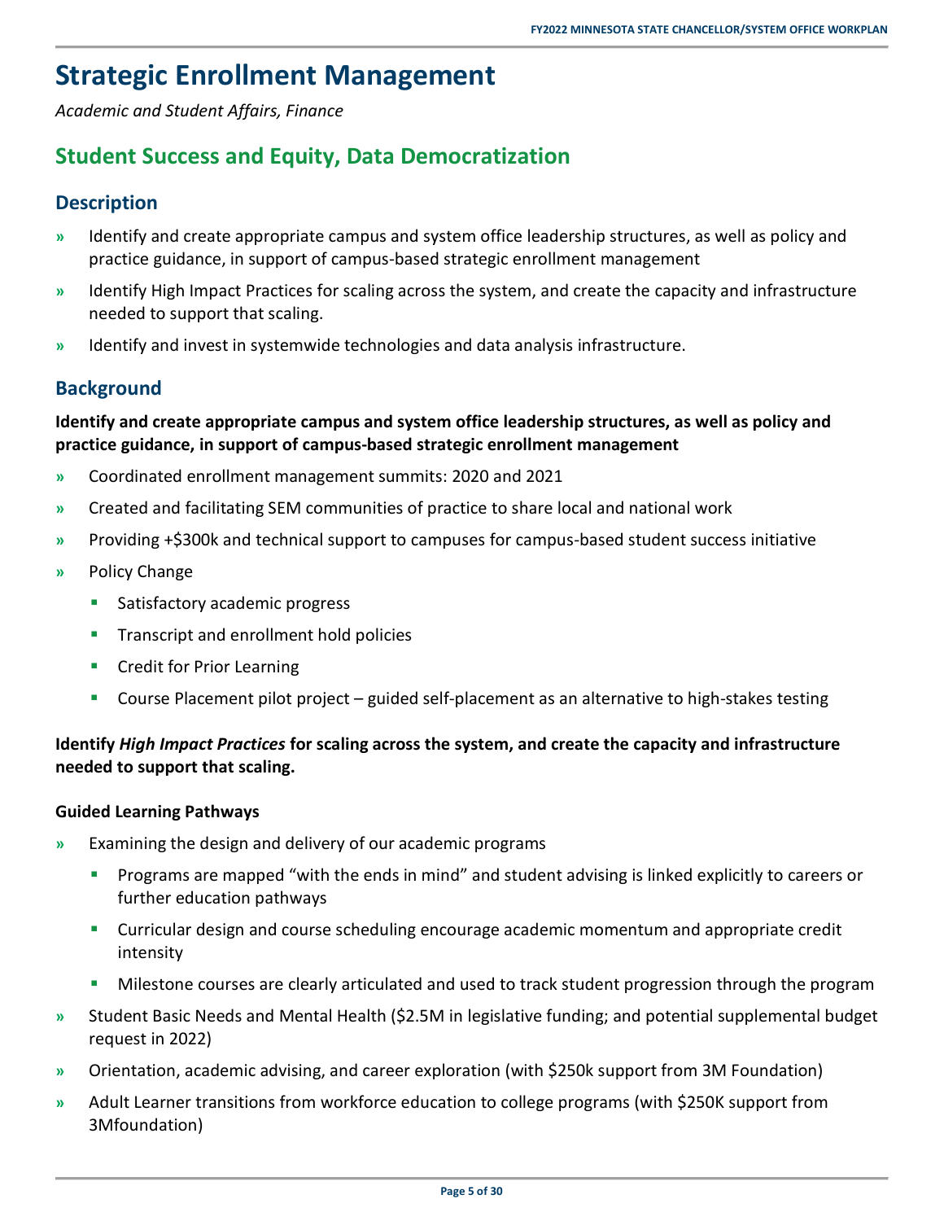# <span id="page-8-0"></span>**Strategic Enrollment Management**

<span id="page-8-1"></span>*Academic and Student Affairs, Finance* 

### **Student Success and Equity, Data Democratization**

### <span id="page-8-2"></span>**Description**

- **»** Identify and create appropriate campus and system office leadership structures, as well as policy and practice guidance, in support of campus-based strategic enrollment management
- **»** Identify High Impact Practices for scaling across the system, and create the capacity and infrastructure needed to support that scaling.
- <span id="page-8-3"></span>**»** Identify and invest in systemwide technologies and data analysis infrastructure.

### **Background**

### **Identify and create appropriate campus and system office leadership structures, as well as policy and practice guidance, in support of campus-based strategic enrollment management**

- **»** Coordinated enrollment management summits: 2020 and 2021
- **»** Created and facilitating SEM communities of practice to share local and national work
- **»** Providing +\$300k and technical support to campuses for campus-based student success initiative
- **»** Policy Change
	- **Satisfactory academic progress**
	- **Transcript and enrollment hold policies**
	- **Credit for Prior Learning**
	- Course Placement pilot project guided self-placement as an alternative to high-stakes testing

### **Identify** *High Impact Practices* **for scaling across the system, and create the capacity and infrastructure needed to support that scaling.**

#### **Guided Learning Pathways**

- **»** Examining the design and delivery of our academic programs
	- **Programs are mapped "with the ends in mind" and student advising is linked explicitly to careers or** further education pathways
	- Curricular design and course scheduling encourage academic momentum and appropriate credit intensity
	- Milestone courses are clearly articulated and used to track student progression through the program
- **»** Student Basic Needs and Mental Health (\$2.5M in legislative funding; and potential supplemental budget request in 2022)
- **»** Orientation, academic advising, and career exploration (with \$250k support from 3M Foundation)
- **»** Adult Learner transitions from workforce education to college programs (with \$250K support from 3Mfoundation)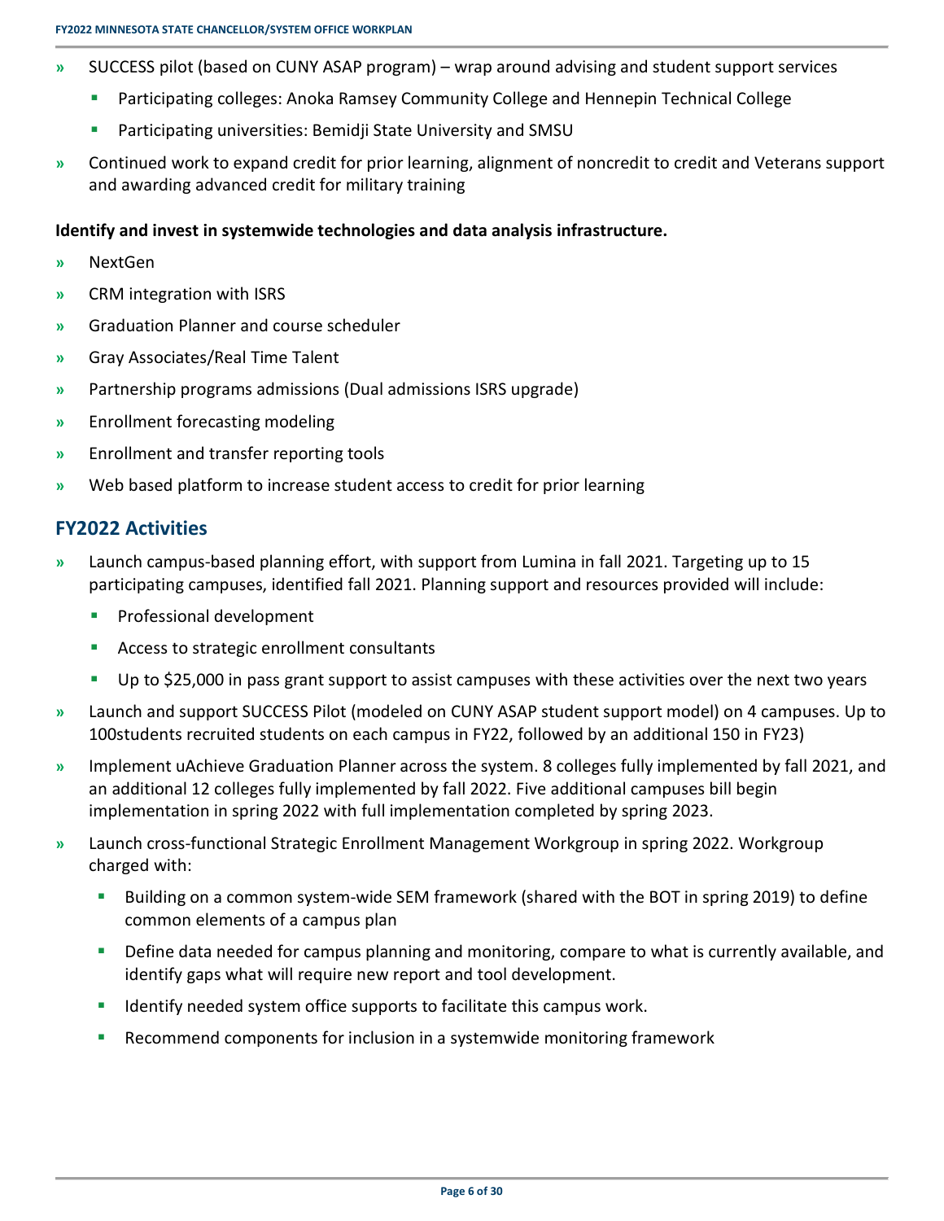- **»** SUCCESS pilot (based on CUNY ASAP program) wrap around advising and student support services
	- **Participating colleges: Anoka Ramsey Community College and Hennepin Technical College**
	- **Participating universities: Bemidji State University and SMSU**
- **»** Continued work to expand credit for prior learning, alignment of noncredit to credit and Veterans support and awarding advanced credit for military training

#### **Identify and invest in systemwide technologies and data analysis infrastructure.**

- **»** NextGen
- **»** CRM integration with ISRS
- **»** Graduation Planner and course scheduler
- **»** Gray Associates/Real Time Talent
- **»** Partnership programs admissions (Dual admissions ISRS upgrade)
- **»** Enrollment forecasting modeling
- **»** Enrollment and transfer reporting tools
- <span id="page-9-0"></span>**»** Web based platform to increase student access to credit for prior learning

#### **FY2022 Activities**

- **»** Launch campus-based planning effort, with support from Lumina in fall 2021. Targeting up to 15 participating campuses, identified fall 2021. Planning support and resources provided will include:
	- **Professional development**
	- **Access to strategic enrollment consultants**
	- Up to \$25,000 in pass grant support to assist campuses with these activities over the next two years
- **»** Launch and support SUCCESS Pilot (modeled on CUNY ASAP student support model) on 4 campuses. Up to 100students recruited students on each campus in FY22, followed by an additional 150 in FY23)
- **»** Implement uAchieve Graduation Planner across the system. 8 colleges fully implemented by fall 2021, and an additional 12 colleges fully implemented by fall 2022. Five additional campuses bill begin implementation in spring 2022 with full implementation completed by spring 2023.
- **»** Launch cross-functional Strategic Enrollment Management Workgroup in spring 2022. Workgroup charged with:
	- **Building on a common system-wide SEM framework (shared with the BOT in spring 2019) to define** common elements of a campus plan
	- **Define data needed for campus planning and monitoring, compare to what is currently available, and** identify gaps what will require new report and tool development.
	- Identify needed system office supports to facilitate this campus work.
	- Recommend components for inclusion in a systemwide monitoring framework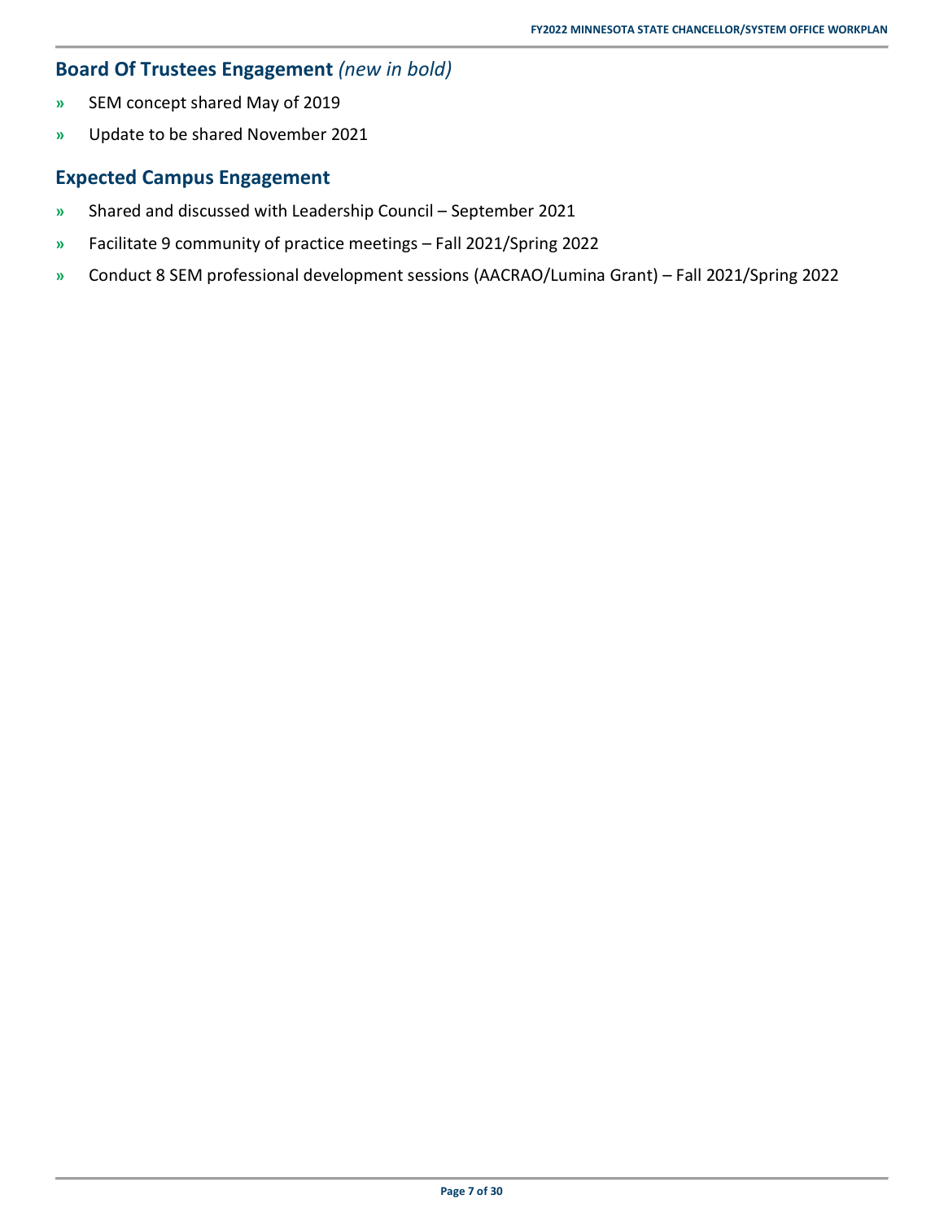### <span id="page-10-0"></span>**Board Of Trustees Engagement** *(new in bold)*

- **»** SEM concept shared May of 2019
- <span id="page-10-1"></span>**»** Update to be shared November 2021

- **»** Shared and discussed with Leadership Council September 2021
- **»** Facilitate 9 community of practice meetings Fall 2021/Spring 2022
- **»** Conduct 8 SEM professional development sessions (AACRAO/Lumina Grant) Fall 2021/Spring 2022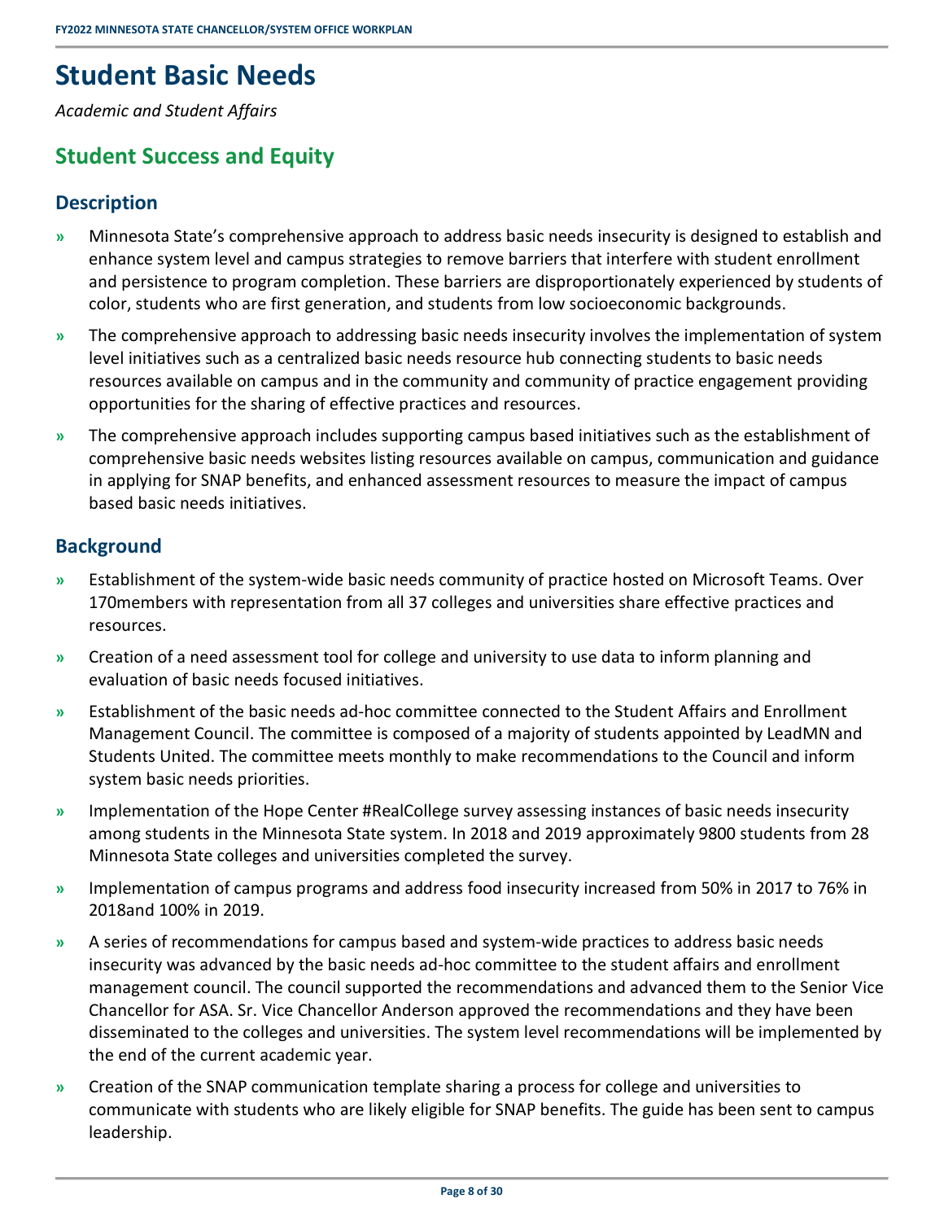# <span id="page-11-0"></span>**Student Basic Needs**

<span id="page-11-1"></span>*Academic and Student Affairs* 

### **Student Success and Equity**

### <span id="page-11-2"></span>**Description**

- **»** Minnesota State's comprehensive approach to address basic needs insecurity is designed to establish and enhance system level and campus strategies to remove barriers that interfere with student enrollment and persistence to program completion. These barriers are disproportionately experienced by students of color, students who are first generation, and students from low socioeconomic backgrounds.
- **»** The comprehensive approach to addressing basic needs insecurity involves the implementation of system level initiatives such as a centralized basic needs resource hub connecting students to basic needs resources available on campus and in the community and community of practice engagement providing opportunities for the sharing of effective practices and resources.
- **»** The comprehensive approach includes supporting campus based initiatives such as the establishment of comprehensive basic needs websites listing resources available on campus, communication and guidance in applying for SNAP benefits, and enhanced assessment resources to measure the impact of campus based basic needs initiatives.

### <span id="page-11-3"></span>**Background**

- **»** Establishment of the system-wide basic needs community of practice hosted on Microsoft Teams. Over 170members with representation from all 37 colleges and universities share effective practices and resources.
- **»** Creation of a need assessment tool for college and university to use data to inform planning and evaluation of basic needs focused initiatives.
- **»** Establishment of the basic needs ad-hoc committee connected to the Student Affairs and Enrollment Management Council. The committee is composed of a majority of students appointed by LeadMN and Students United. The committee meets monthly to make recommendations to the Council and inform system basic needs priorities.
- **»** Implementation of the Hope Center #RealCollege survey assessing instances of basic needs insecurity among students in the Minnesota State system. In 2018 and 2019 approximately 9800 students from 28 Minnesota State colleges and universities completed the survey.
- **»** Implementation of campus programs and address food insecurity increased from 50% in 2017 to 76% in 2018and 100% in 2019.
- **»** A series of recommendations for campus based and system-wide practices to address basic needs insecurity was advanced by the basic needs ad-hoc committee to the student affairs and enrollment management council. The council supported the recommendations and advanced them to the Senior Vice Chancellor for ASA. Sr. Vice Chancellor Anderson approved the recommendations and they have been disseminated to the colleges and universities. The system level recommendations will be implemented by the end of the current academic year.
- **»** Creation of the SNAP communication template sharing a process for college and universities to communicate with students who are likely eligible for SNAP benefits. The guide has been sent to campus leadership.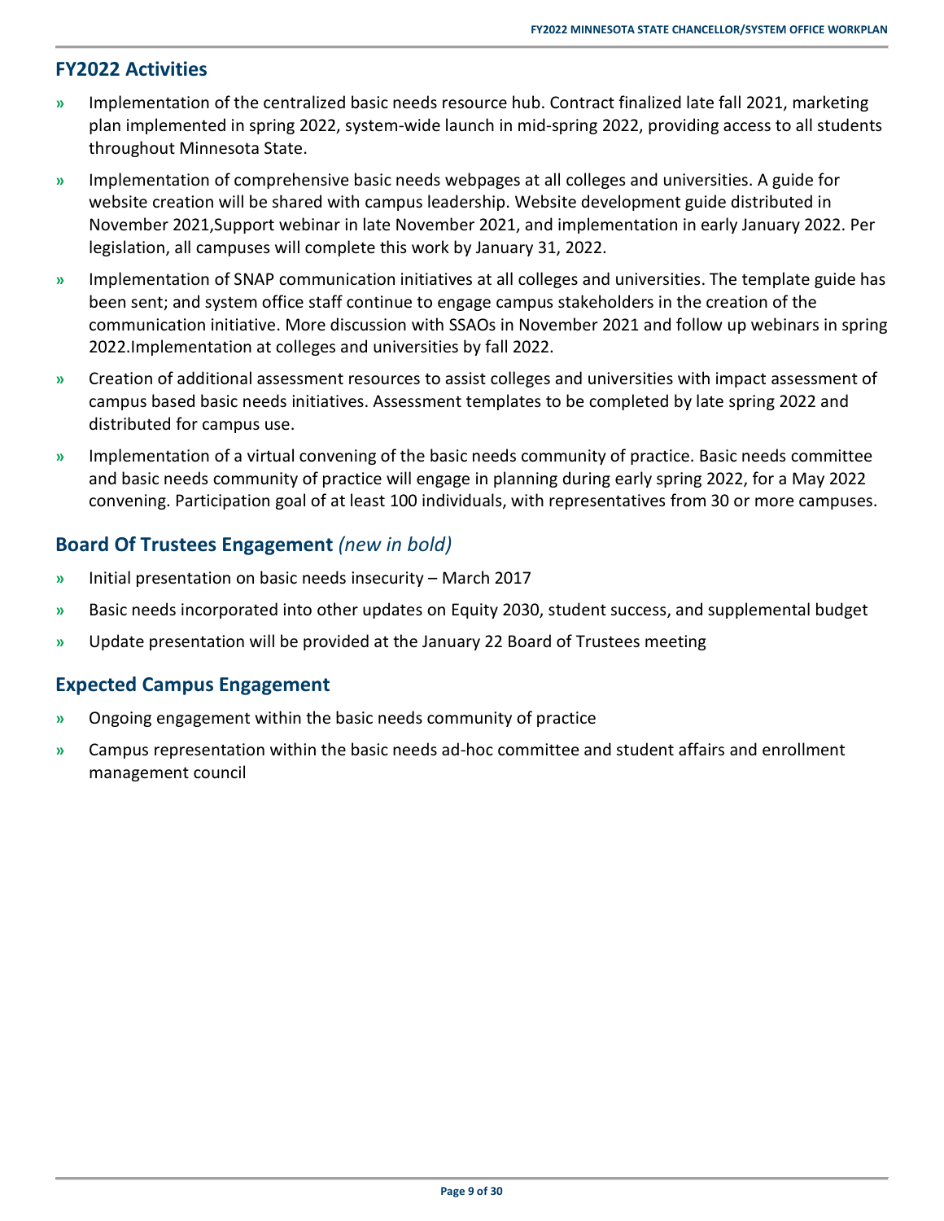### <span id="page-12-0"></span>**FY2022 Activities**

- **»** Implementation of the centralized basic needs resource hub. Contract finalized late fall 2021, marketing plan implemented in spring 2022, system-wide launch in mid-spring 2022, providing access to all students throughout Minnesota State.
- **»** Implementation of comprehensive basic needs webpages at all colleges and universities. A guide for website creation will be shared with campus leadership. Website development guide distributed in November 2021,Support webinar in late November 2021, and implementation in early January 2022. Per legislation, all campuses will complete this work by January 31, 2022.
- **»** Implementation of SNAP communication initiatives at all colleges and universities. The template guide has been sent; and system office staff continue to engage campus stakeholders in the creation of the communication initiative. More discussion with SSAOs in November 2021 and follow up webinars in spring 2022.Implementation at colleges and universities by fall 2022.
- **»** Creation of additional assessment resources to assist colleges and universities with impact assessment of campus based basic needs initiatives. Assessment templates to be completed by late spring 2022 and distributed for campus use.
- **»** Implementation of a virtual convening of the basic needs community of practice. Basic needs committee and basic needs community of practice will engage in planning during early spring 2022, for a May 2022 convening. Participation goal of at least 100 individuals, with representatives from 30 or more campuses.

### <span id="page-12-1"></span>**Board Of Trustees Engagement** *(new in bold)*

- **»** Initial presentation on basic needs insecurity March 2017
- **»** Basic needs incorporated into other updates on Equity 2030, student success, and supplemental budget
- <span id="page-12-2"></span>**»** Update presentation will be provided at the January 22 Board of Trustees meeting

- **»** Ongoing engagement within the basic needs community of practice
- **»** Campus representation within the basic needs ad-hoc committee and student affairs and enrollment management council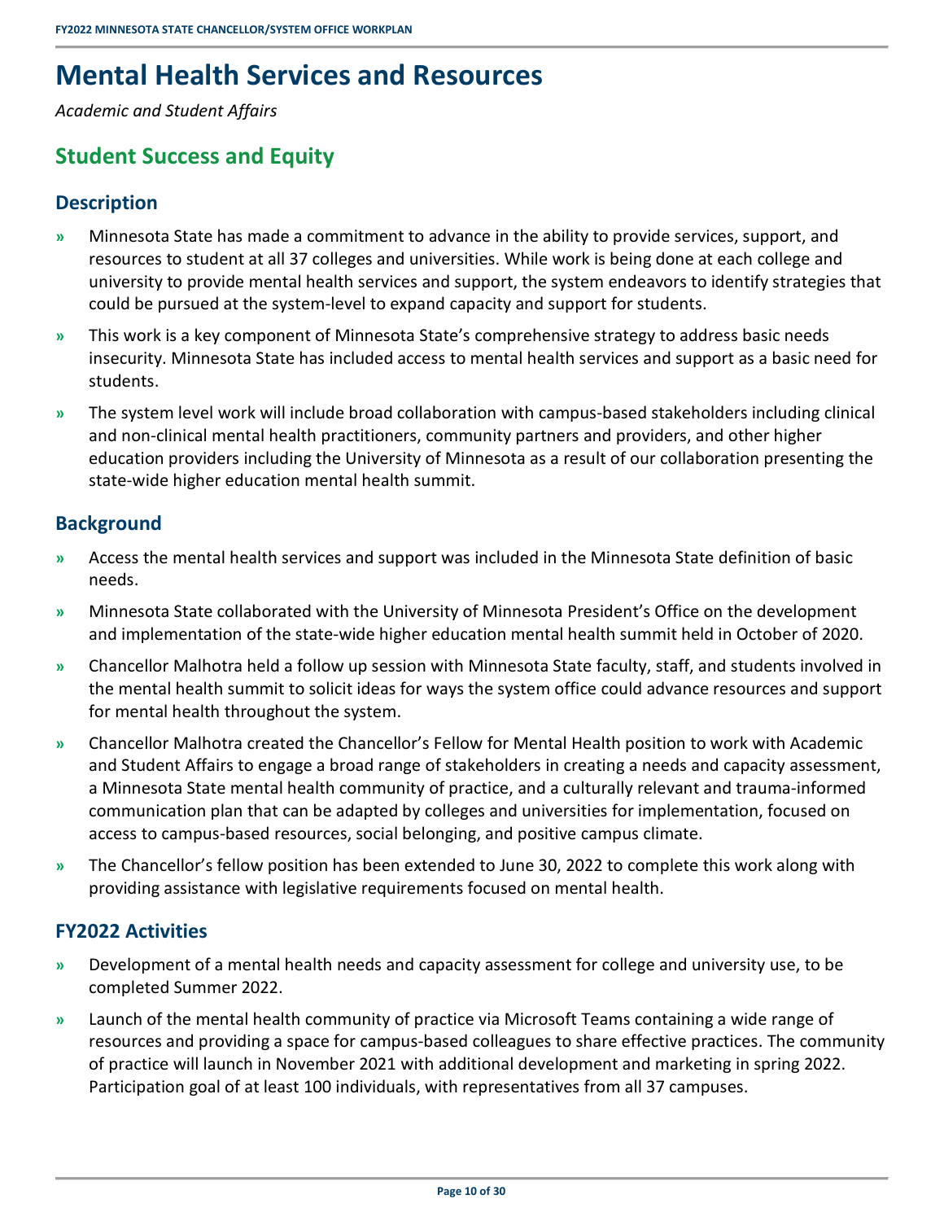# <span id="page-13-0"></span>**Mental Health Services and Resources**

<span id="page-13-1"></span>*Academic and Student Affairs* 

### **Student Success and Equity**

### <span id="page-13-2"></span>**Description**

- **»** Minnesota State has made a commitment to advance in the ability to provide services, support, and resources to student at all 37 colleges and universities. While work is being done at each college and university to provide mental health services and support, the system endeavors to identify strategies that could be pursued at the system-level to expand capacity and support for students.
- **»** This work is a key component of Minnesota State's comprehensive strategy to address basic needs insecurity. Minnesota State has included access to mental health services and support as a basic need for students.
- **»** The system level work will include broad collaboration with campus-based stakeholders including clinical and non-clinical mental health practitioners, community partners and providers, and other higher education providers including the University of Minnesota as a result of our collaboration presenting the state-wide higher education mental health summit.

### <span id="page-13-3"></span>**Background**

- **»** Access the mental health services and support was included in the Minnesota State definition of basic needs.
- **»** Minnesota State collaborated with the University of Minnesota President's Office on the development and implementation of the state-wide higher education mental health summit held in October of 2020.
- **»** Chancellor Malhotra held a follow up session with Minnesota State faculty, staff, and students involved in the mental health summit to solicit ideas for ways the system office could advance resources and support for mental health throughout the system.
- **»** Chancellor Malhotra created the Chancellor's Fellow for Mental Health position to work with Academic and Student Affairs to engage a broad range of stakeholders in creating a needs and capacity assessment, a Minnesota State mental health community of practice, and a culturally relevant and trauma-informed communication plan that can be adapted by colleges and universities for implementation, focused on access to campus-based resources, social belonging, and positive campus climate.
- **»** The Chancellor's fellow position has been extended to June 30, 2022 to complete this work along with providing assistance with legislative requirements focused on mental health.

### <span id="page-13-4"></span>**FY2022 Activities**

- **»** Development of a mental health needs and capacity assessment for college and university use, to be completed Summer 2022.
- **»** Launch of the mental health community of practice via Microsoft Teams containing a wide range of resources and providing a space for campus-based colleagues to share effective practices. The community of practice will launch in November 2021 with additional development and marketing in spring 2022. Participation goal of at least 100 individuals, with representatives from all 37 campuses.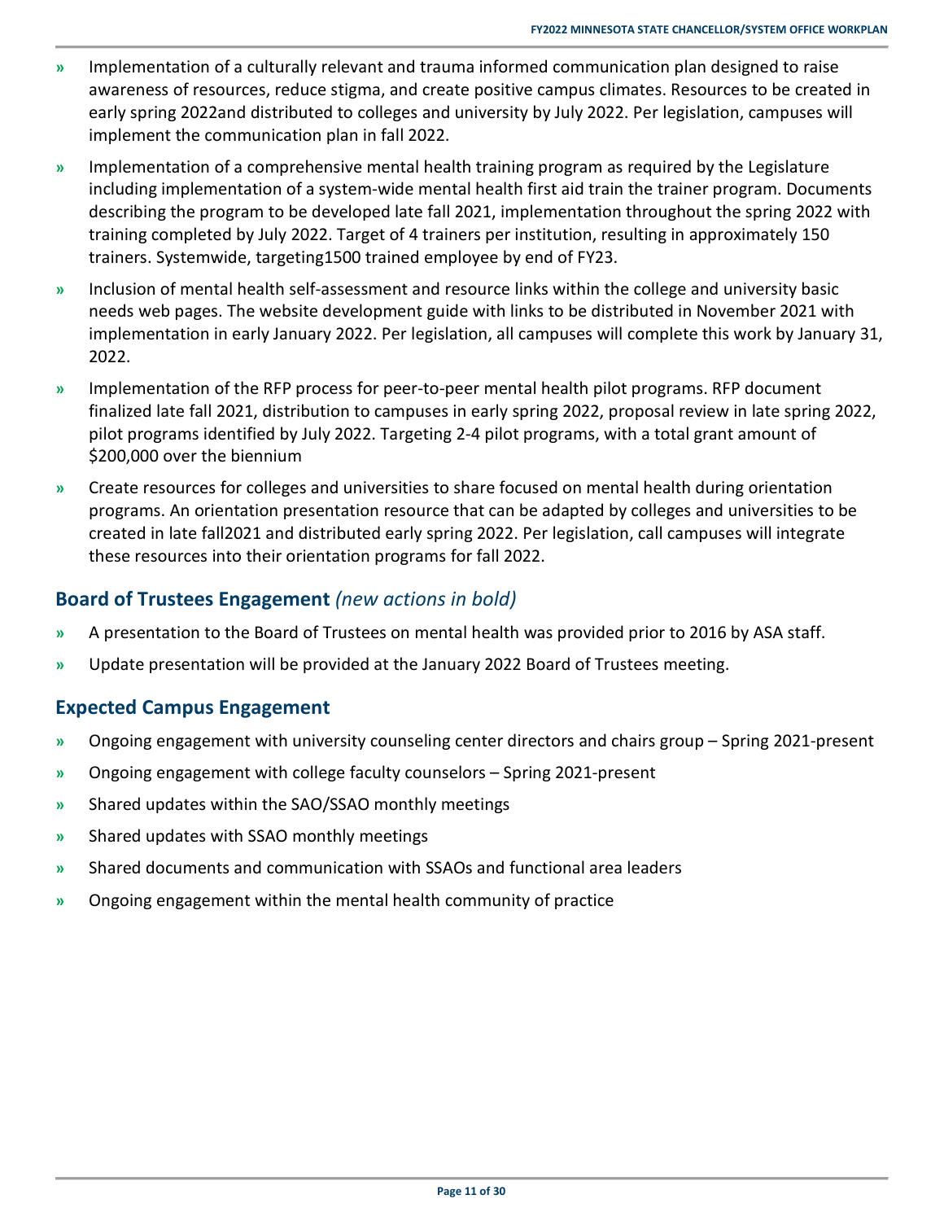- **»** Implementation of a culturally relevant and trauma informed communication plan designed to raise awareness of resources, reduce stigma, and create positive campus climates. Resources to be created in early spring 2022and distributed to colleges and university by July 2022. Per legislation, campuses will implement the communication plan in fall 2022.
- **»** Implementation of a comprehensive mental health training program as required by the Legislature including implementation of a system-wide mental health first aid train the trainer program. Documents describing the program to be developed late fall 2021, implementation throughout the spring 2022 with training completed by July 2022. Target of 4 trainers per institution, resulting in approximately 150 trainers. Systemwide, targeting1500 trained employee by end of FY23.
- **»** Inclusion of mental health self-assessment and resource links within the college and university basic needs web pages. The website development guide with links to be distributed in November 2021 with implementation in early January 2022. Per legislation, all campuses will complete this work by January 31, 2022.
- **»** Implementation of the RFP process for peer-to-peer mental health pilot programs. RFP document finalized late fall 2021, distribution to campuses in early spring 2022, proposal review in late spring 2022, pilot programs identified by July 2022. Targeting 2-4 pilot programs, with a total grant amount of \$200,000 over the biennium
- **»** Create resources for colleges and universities to share focused on mental health during orientation programs. An orientation presentation resource that can be adapted by colleges and universities to be created in late fall2021 and distributed early spring 2022. Per legislation, call campuses will integrate these resources into their orientation programs for fall 2022.

### <span id="page-14-0"></span>**Board of Trustees Engagement** *(new actions in bold)*

- **»** A presentation to the Board of Trustees on mental health was provided prior to 2016 by ASA staff.
- <span id="page-14-1"></span>**»** Update presentation will be provided at the January 2022 Board of Trustees meeting.

- **»** Ongoing engagement with university counseling center directors and chairs group Spring 2021-present
- **»** Ongoing engagement with college faculty counselors Spring 2021-present
- **»** Shared updates within the SAO/SSAO monthly meetings
- **»** Shared updates with SSAO monthly meetings
- **»** Shared documents and communication with SSAOs and functional area leaders
- **»** Ongoing engagement within the mental health community of practice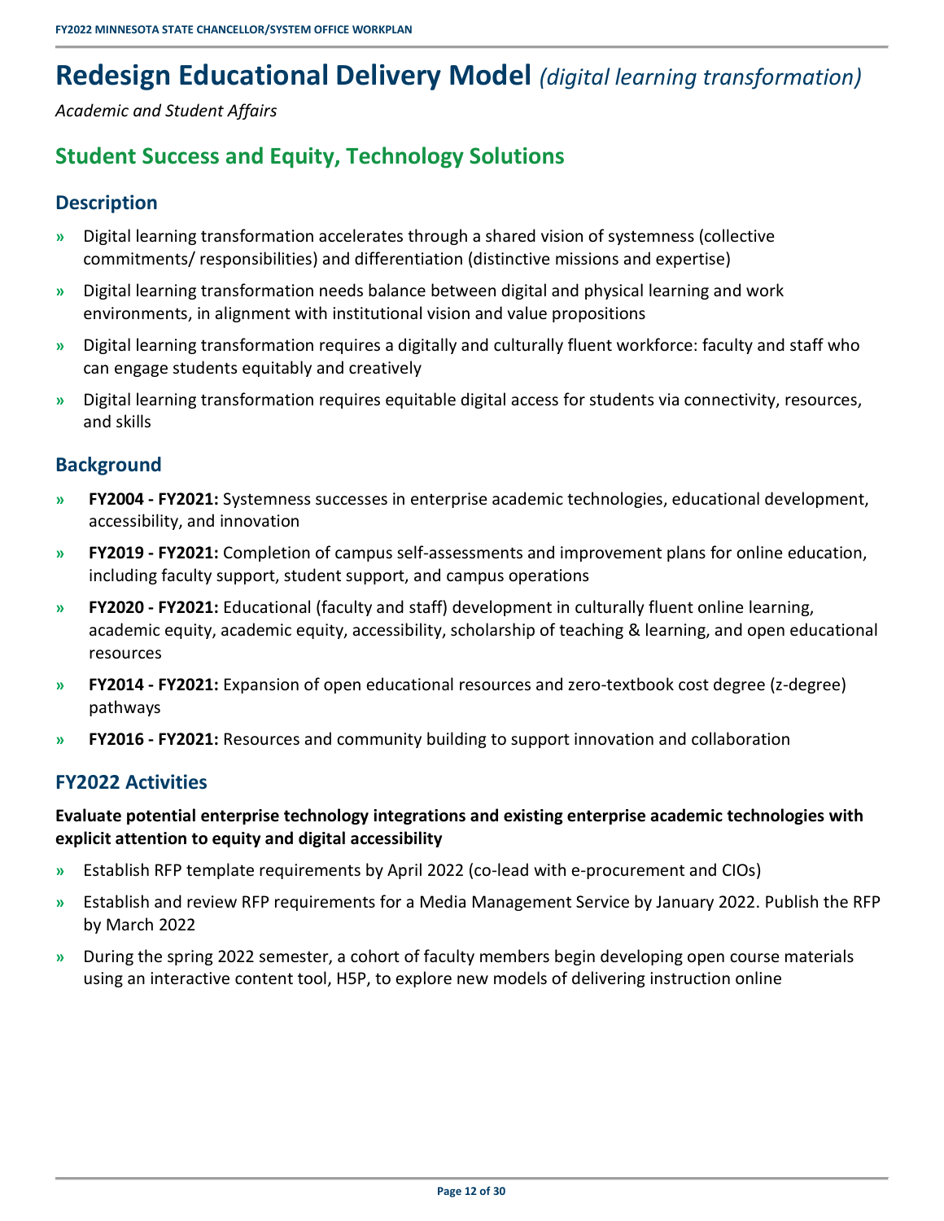# <span id="page-15-0"></span>**Redesign Educational Delivery Model** *(digital learning transformation)*

<span id="page-15-1"></span>*Academic and Student Affairs* 

### **Student Success and Equity, Technology Solutions**

### <span id="page-15-2"></span>**Description**

- **»** Digital learning transformation accelerates through a shared vision of systemness (collective commitments/ responsibilities) and differentiation (distinctive missions and expertise)
- **»** Digital learning transformation needs balance between digital and physical learning and work environments, in alignment with institutional vision and value propositions
- **»** Digital learning transformation requires a digitally and culturally fluent workforce: faculty and staff who can engage students equitably and creatively
- **»** Digital learning transformation requires equitable digital access for students via connectivity, resources, and skills

### <span id="page-15-3"></span>**Background**

- **» FY2004 FY2021:** Systemness successes in enterprise academic technologies, educational development, accessibility, and innovation
- **» FY2019 FY2021:** Completion of campus self-assessments and improvement plans for online education, including faculty support, student support, and campus operations
- **» FY2020 FY2021:** Educational (faculty and staff) development in culturally fluent online learning, academic equity, academic equity, accessibility, scholarship of teaching & learning, and open educational resources
- **» FY2014 FY2021:** Expansion of open educational resources and zero-textbook cost degree (z-degree) pathways
- <span id="page-15-4"></span>**» FY2016 - FY2021:** Resources and community building to support innovation and collaboration

### **FY2022 Activities**

**Evaluate potential enterprise technology integrations and existing enterprise academic technologies with explicit attention to equity and digital accessibility** 

- **»** Establish RFP template requirements by April 2022 (co-lead with e-procurement and CIOs)
- **»** Establish and review RFP requirements for a Media Management Service by January 2022. Publish the RFP by March 2022
- **»** During the spring 2022 semester, a cohort of faculty members begin developing open course materials using an interactive content tool, H5P, to explore new models of delivering instruction online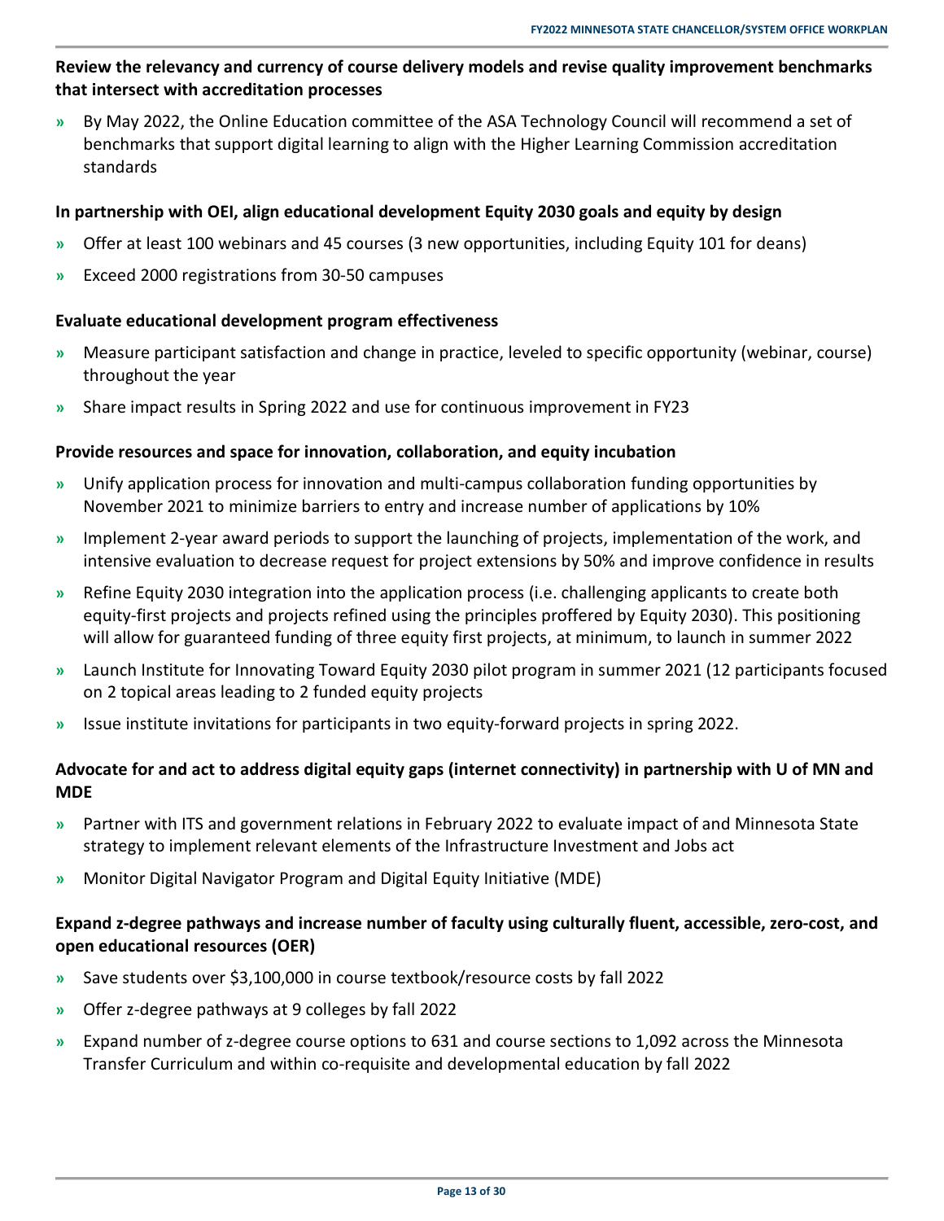### **Review the relevancy and currency of course delivery models and revise quality improvement benchmarks that intersect with accreditation processes**

**»** By May 2022, the Online Education committee of the ASA Technology Council will recommend a set of benchmarks that support digital learning to align with the Higher Learning Commission accreditation standards

#### **In partnership with OEI, align educational development Equity 2030 goals and equity by design**

- **»** Offer at least 100 webinars and 45 courses (3 new opportunities, including Equity 101 for deans)
- **»** Exceed 2000 registrations from 30-50 campuses

#### **Evaluate educational development program effectiveness**

- **»** Measure participant satisfaction and change in practice, leveled to specific opportunity (webinar, course) throughout the year
- **»** Share impact results in Spring 2022 and use for continuous improvement in FY23

#### **Provide resources and space for innovation, collaboration, and equity incubation**

- **»** Unify application process for innovation and multi-campus collaboration funding opportunities by November 2021 to minimize barriers to entry and increase number of applications by 10%
- **»** Implement 2-year award periods to support the launching of projects, implementation of the work, and intensive evaluation to decrease request for project extensions by 50% and improve confidence in results
- **»** Refine Equity 2030 integration into the application process (i.e. challenging applicants to create both equity-first projects and projects refined using the principles proffered by Equity 2030). This positioning will allow for guaranteed funding of three equity first projects, at minimum, to launch in summer 2022
- **»** Launch Institute for Innovating Toward Equity 2030 pilot program in summer 2021 (12 participants focused on 2 topical areas leading to 2 funded equity projects
- **»** Issue institute invitations for participants in two equity-forward projects in spring 2022.

### **Advocate for and act to address digital equity gaps (internet connectivity) in partnership with U of MN and MDE**

- **»** Partner with ITS and government relations in February 2022 to evaluate impact of and Minnesota State strategy to implement relevant elements of the Infrastructure Investment and Jobs act
- **»** Monitor Digital Navigator Program and Digital Equity Initiative (MDE)

#### **Expand z-degree pathways and increase number of faculty using culturally fluent, accessible, zero-cost, and open educational resources (OER)**

- **»** Save students over \$3,100,000 in course textbook/resource costs by fall 2022
- **»** Offer z-degree pathways at 9 colleges by fall 2022
- **»** Expand number of z-degree course options to 631 and course sections to 1,092 across the Minnesota Transfer Curriculum and within co-requisite and developmental education by fall 2022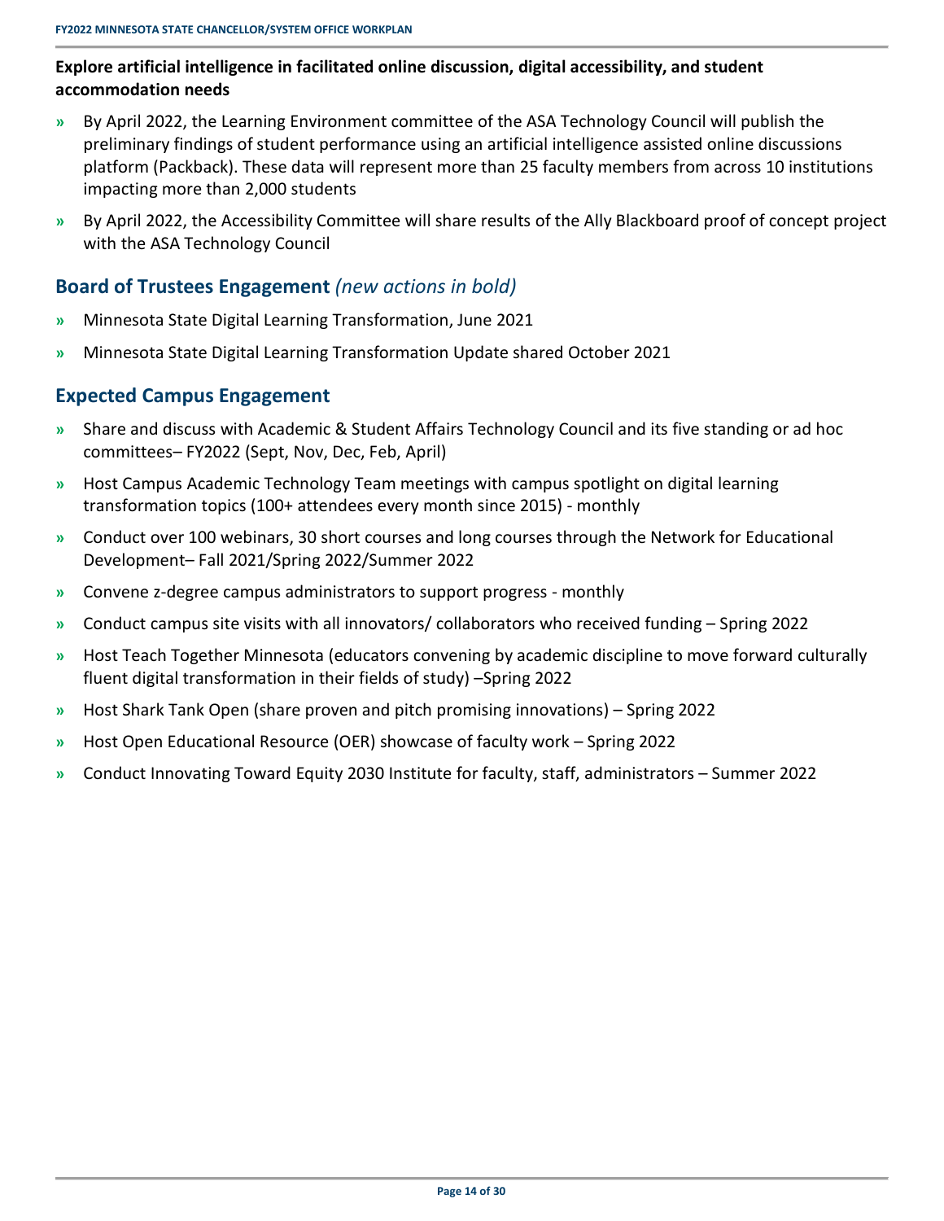#### **Explore artificial intelligence in facilitated online discussion, digital accessibility, and student accommodation needs**

- **»** By April 2022, the Learning Environment committee of the ASA Technology Council will publish the preliminary findings of student performance using an artificial intelligence assisted online discussions platform (Packback). These data will represent more than 25 faculty members from across 10 institutions impacting more than 2,000 students
- **»** By April 2022, the Accessibility Committee will share results of the Ally Blackboard proof of concept project with the ASA Technology Council

### <span id="page-17-0"></span>**Board of Trustees Engagement** *(new actions in bold)*

- **»** Minnesota State Digital Learning Transformation, June 2021
- <span id="page-17-1"></span>**»** Minnesota State Digital Learning Transformation Update shared October 2021

- **»** Share and discuss with Academic & Student Affairs Technology Council and its five standing or ad hoc committees– FY2022 (Sept, Nov, Dec, Feb, April)
- **»** Host Campus Academic Technology Team meetings with campus spotlight on digital learning transformation topics (100+ attendees every month since 2015) - monthly
- **»** Conduct over 100 webinars, 30 short courses and long courses through the Network for Educational Development– Fall 2021/Spring 2022/Summer 2022
- **»** Convene z-degree campus administrators to support progress monthly
- **»** Conduct campus site visits with all innovators/ collaborators who received funding Spring 2022
- **»** Host Teach Together Minnesota (educators convening by academic discipline to move forward culturally fluent digital transformation in their fields of study) –Spring 2022
- **»** Host Shark Tank Open (share proven and pitch promising innovations) Spring 2022
- **»** Host Open Educational Resource (OER) showcase of faculty work Spring 2022
- **»** Conduct Innovating Toward Equity 2030 Institute for faculty, staff, administrators Summer 2022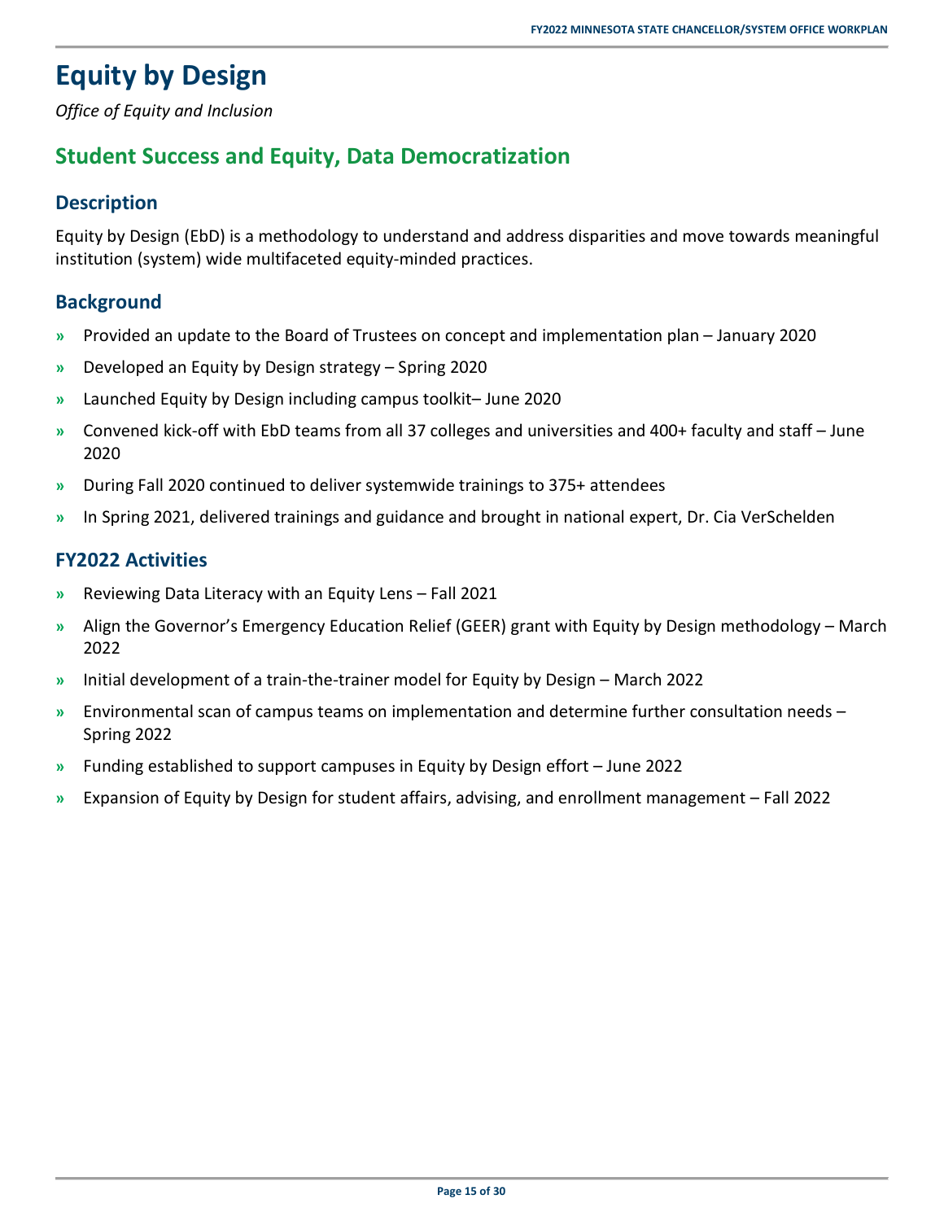# <span id="page-18-0"></span>**Equity by Design**

<span id="page-18-1"></span>*Office of Equity and Inclusion* 

### **Student Success and Equity, Data Democratization**

### <span id="page-18-2"></span>**Description**

Equity by Design (EbD) is a methodology to understand and address disparities and move towards meaningful institution (system) wide multifaceted equity-minded practices.

### <span id="page-18-3"></span>**Background**

- **»** Provided an update to the Board of Trustees on concept and implementation plan January 2020
- **»** Developed an Equity by Design strategy Spring 2020
- **»** Launched Equity by Design including campus toolkit– June 2020
- **»** Convened kick-off with EbD teams from all 37 colleges and universities and 400+ faculty and staff June 2020
- **»** During Fall 2020 continued to deliver systemwide trainings to 375+ attendees
- <span id="page-18-4"></span>**»** In Spring 2021, delivered trainings and guidance and brought in national expert, Dr. Cia VerSchelden

### **FY2022 Activities**

- **»** Reviewing Data Literacy with an Equity Lens Fall 2021
- **»** Align the Governor's Emergency Education Relief (GEER) grant with Equity by Design methodology March 2022
- **»** Initial development of a train-the-trainer model for Equity by Design March 2022
- **»** Environmental scan of campus teams on implementation and determine further consultation needs Spring 2022
- **»** Funding established to support campuses in Equity by Design effort June 2022
- **»** Expansion of Equity by Design for student affairs, advising, and enrollment management Fall 2022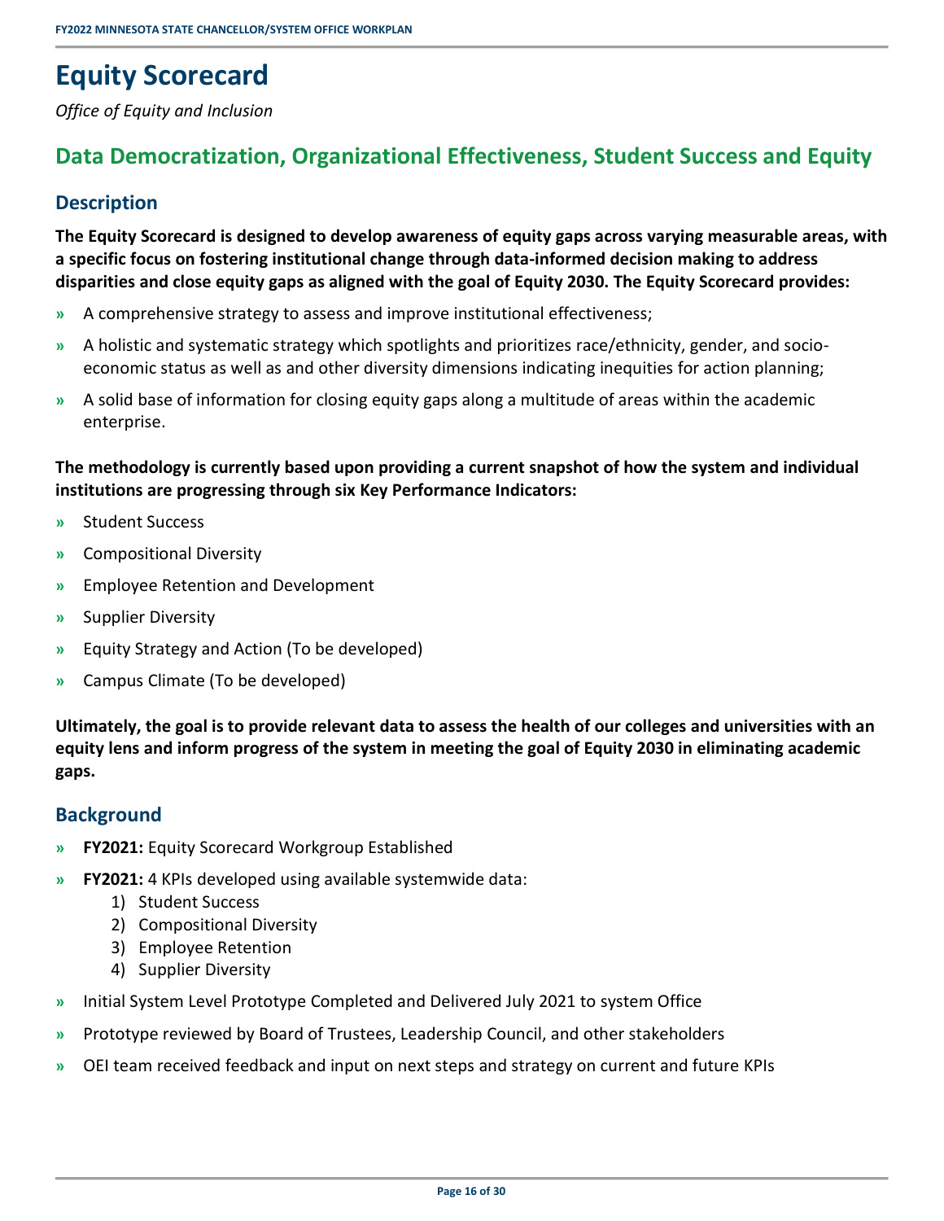# <span id="page-19-0"></span>**Equity Scorecard**

<span id="page-19-1"></span>*Office of Equity and Inclusion* 

### **Data Democratization, Organizational Effectiveness, Student Success and Equity**

### <span id="page-19-2"></span>**Description**

**The Equity Scorecard is designed to develop awareness of equity gaps across varying measurable areas, with a specific focus on fostering institutional change through data-informed decision making to address disparities and close equity gaps as aligned with the goal of Equity 2030. The Equity Scorecard provides:** 

- **»** A comprehensive strategy to assess and improve institutional effectiveness;
- **»** A holistic and systematic strategy which spotlights and prioritizes race/ethnicity, gender, and socioeconomic status as well as and other diversity dimensions indicating inequities for action planning;
- **»** A solid base of information for closing equity gaps along a multitude of areas within the academic enterprise.

### **The methodology is currently based upon providing a current snapshot of how the system and individual institutions are progressing through six Key Performance Indicators:**

- **»** Student Success
- **»** Compositional Diversity
- **»** Employee Retention and Development
- **»** Supplier Diversity
- **»** Equity Strategy and Action (To be developed)
- **»** Campus Climate (To be developed)

**Ultimately, the goal is to provide relevant data to assess the health of our colleges and universities with an equity lens and inform progress of the system in meeting the goal of Equity 2030 in eliminating academic gaps.** 

### <span id="page-19-3"></span>**Background**

- **» FY2021:** Equity Scorecard Workgroup Established
- **» FY2021:** 4 KPIs developed using available systemwide data:
	- 1) Student Success
	- 2) Compositional Diversity
	- 3) Employee Retention
	- 4) Supplier Diversity
- **»** Initial System Level Prototype Completed and Delivered July 2021 to system Office
- **»** Prototype reviewed by Board of Trustees, Leadership Council, and other stakeholders
- **»** OEI team received feedback and input on next steps and strategy on current and future KPIs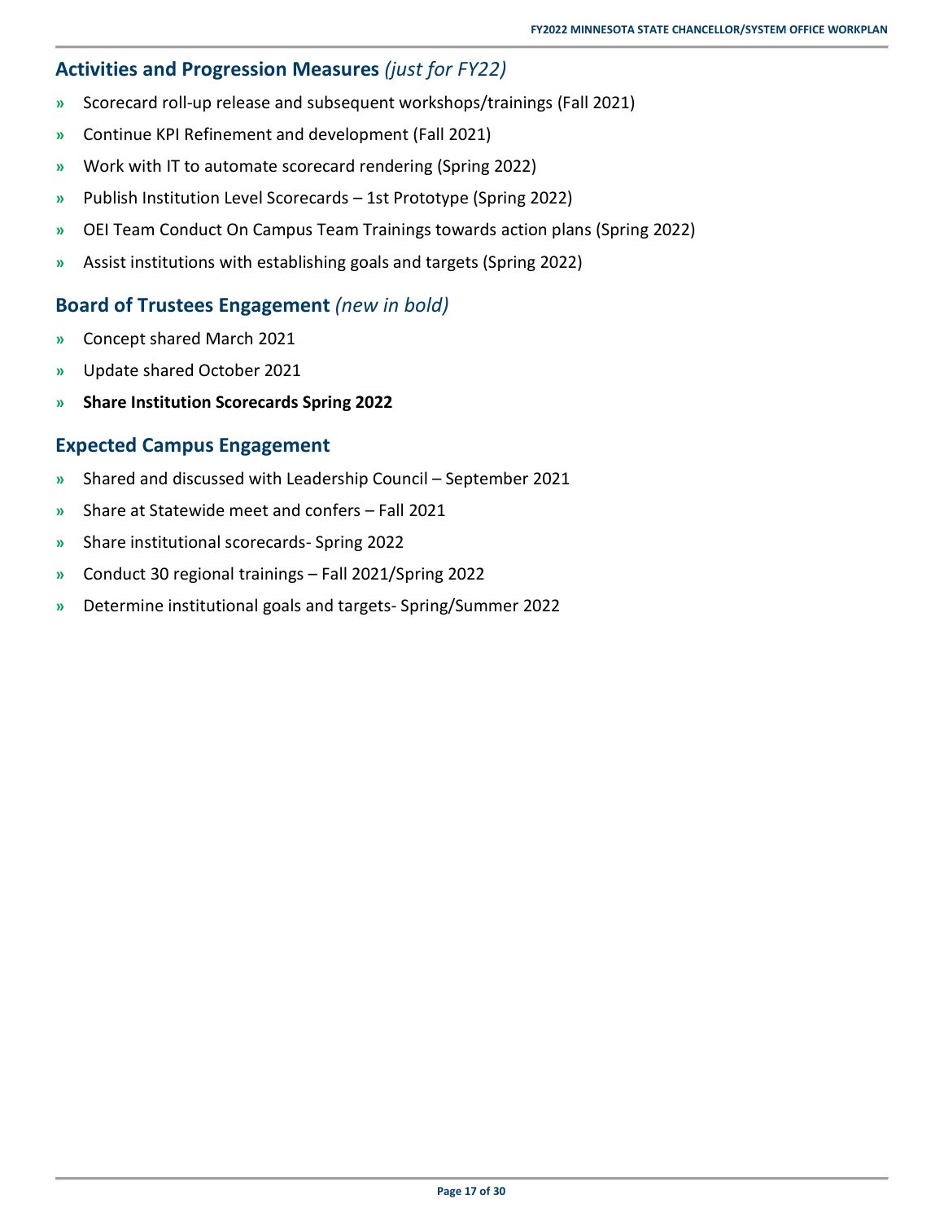### <span id="page-20-0"></span>**Activities and Progression Measures** *(just for FY22)*

- **»** Scorecard roll-up release and subsequent workshops/trainings (Fall 2021)
- **»** Continue KPI Refinement and development (Fall 2021)
- **»** Work with IT to automate scorecard rendering (Spring 2022)
- **»** Publish Institution Level Scorecards 1st Prototype (Spring 2022)
- **»** OEI Team Conduct On Campus Team Trainings towards action plans (Spring 2022)
- <span id="page-20-1"></span>**»** Assist institutions with establishing goals and targets (Spring 2022)

### **Board of Trustees Engagement** *(new in bold)*

- **»** Concept shared March 2021
- **»** Update shared October 2021
- <span id="page-20-2"></span>**» Share Institution Scorecards Spring 2022**

- **»** Shared and discussed with Leadership Council September 2021
- **»** Share at Statewide meet and confers Fall 2021
- **»** Share institutional scorecards- Spring 2022
- **»** Conduct 30 regional trainings Fall 2021/Spring 2022
- **»** Determine institutional goals and targets- Spring/Summer 2022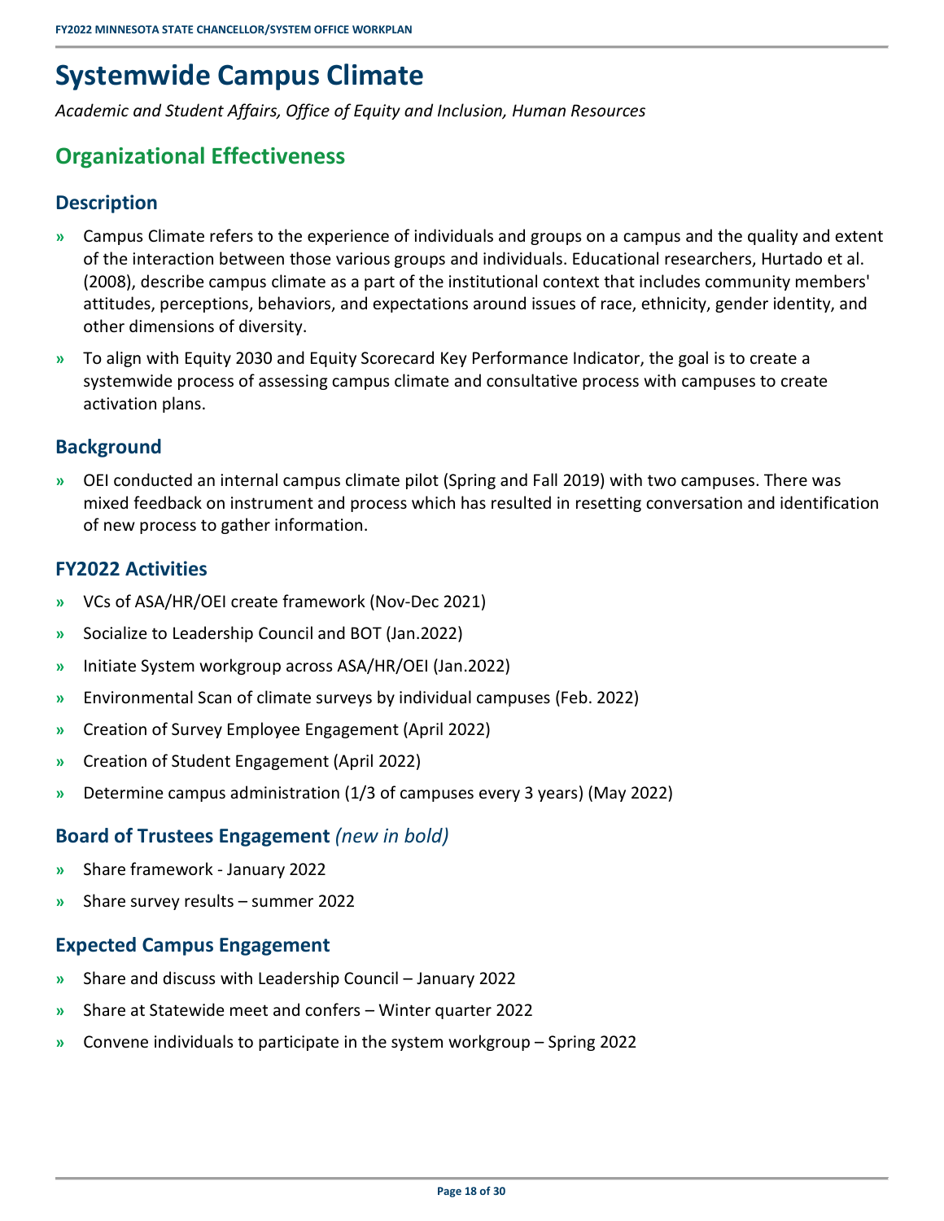# <span id="page-21-0"></span>**Systemwide Campus Climate**

<span id="page-21-1"></span>*Academic and Student Affairs, Office of Equity and Inclusion, Human Resources* 

### **Organizational Effectiveness**

### <span id="page-21-2"></span>**Description**

- **»** Campus Climate refers to the experience of individuals and groups on a campus and the quality and extent of the interaction between those various groups and individuals. Educational researchers, Hurtado et al. (2008), describe campus climate as a part of the institutional context that includes community members' attitudes, perceptions, behaviors, and expectations around issues of race, ethnicity, gender identity, and other dimensions of diversity.
- **»** To align with Equity 2030 and Equity Scorecard Key Performance Indicator, the goal is to create a systemwide process of assessing campus climate and consultative process with campuses to create activation plans.

### <span id="page-21-3"></span>**Background**

**»** OEI conducted an internal campus climate pilot (Spring and Fall 2019) with two campuses. There was mixed feedback on instrument and process which has resulted in resetting conversation and identification of new process to gather information.

### <span id="page-21-4"></span>**FY2022 Activities**

- **»** VCs of ASA/HR/OEI create framework (Nov-Dec 2021)
- **»** Socialize to Leadership Council and BOT (Jan.2022)
- **»** Initiate System workgroup across ASA/HR/OEI (Jan.2022)
- **»** Environmental Scan of climate surveys by individual campuses (Feb. 2022)
- **»** Creation of Survey Employee Engagement (April 2022)
- **»** Creation of Student Engagement (April 2022)
- <span id="page-21-5"></span>**»** Determine campus administration (1/3 of campuses every 3 years) (May 2022)

### **Board of Trustees Engagement** *(new in bold)*

- **»** Share framework January 2022
- <span id="page-21-6"></span>**»** Share survey results – summer 2022

- **»** Share and discuss with Leadership Council January 2022
- **»** Share at Statewide meet and confers Winter quarter 2022
- **»** Convene individuals to participate in the system workgroup Spring 2022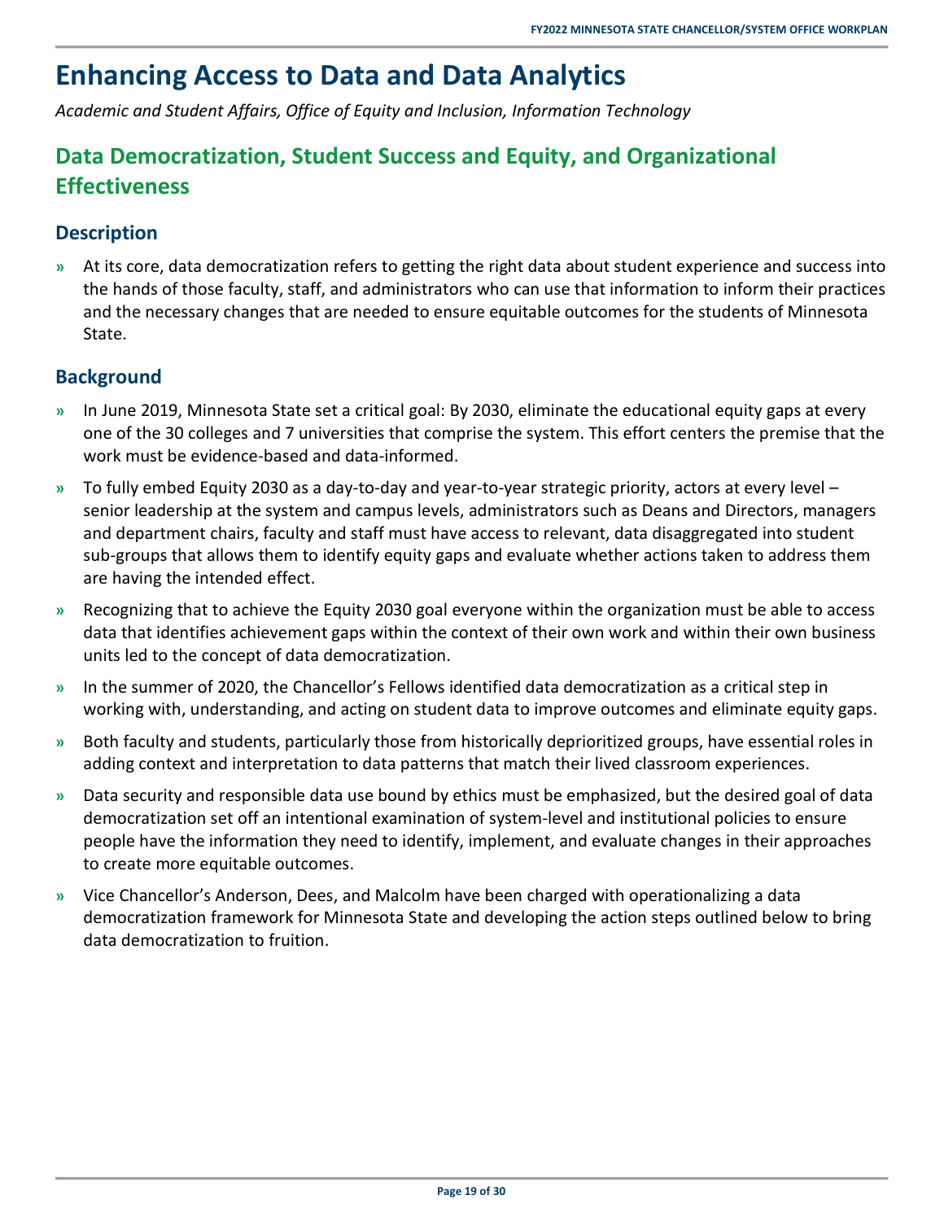# <span id="page-22-0"></span>**Enhancing Access to Data and Data Analytics**

<span id="page-22-1"></span>*Academic and Student Affairs, Office of Equity and Inclusion, Information Technology* 

### **Data Democratization, Student Success and Equity, and Organizational Effectiveness**

### <span id="page-22-2"></span>**Description**

**»** At its core, data democratization refers to getting the right data about student experience and success into the hands of those faculty, staff, and administrators who can use that information to inform their practices and the necessary changes that are needed to ensure equitable outcomes for the students of Minnesota State.

### <span id="page-22-3"></span>**Background**

- **»** In June 2019, Minnesota State set a critical goal: By 2030, eliminate the educational equity gaps at every one of the 30 colleges and 7 universities that comprise the system. This effort centers the premise that the work must be evidence-based and data-informed.
- **»** To fully embed Equity 2030 as a day-to-day and year-to-year strategic priority, actors at every level senior leadership at the system and campus levels, administrators such as Deans and Directors, managers and department chairs, faculty and staff must have access to relevant, data disaggregated into student sub-groups that allows them to identify equity gaps and evaluate whether actions taken to address them are having the intended effect.
- **»** Recognizing that to achieve the Equity 2030 goal everyone within the organization must be able to access data that identifies achievement gaps within the context of their own work and within their own business units led to the concept of data democratization.
- **»** In the summer of 2020, the Chancellor's Fellows identified data democratization as a critical step in working with, understanding, and acting on student data to improve outcomes and eliminate equity gaps.
- **»** Both faculty and students, particularly those from historically deprioritized groups, have essential roles in adding context and interpretation to data patterns that match their lived classroom experiences.
- **»** Data security and responsible data use bound by ethics must be emphasized, but the desired goal of data democratization set off an intentional examination of system-level and institutional policies to ensure people have the information they need to identify, implement, and evaluate changes in their approaches to create more equitable outcomes.
- **»** Vice Chancellor's Anderson, Dees, and Malcolm have been charged with operationalizing a data democratization framework for Minnesota State and developing the action steps outlined below to bring data democratization to fruition.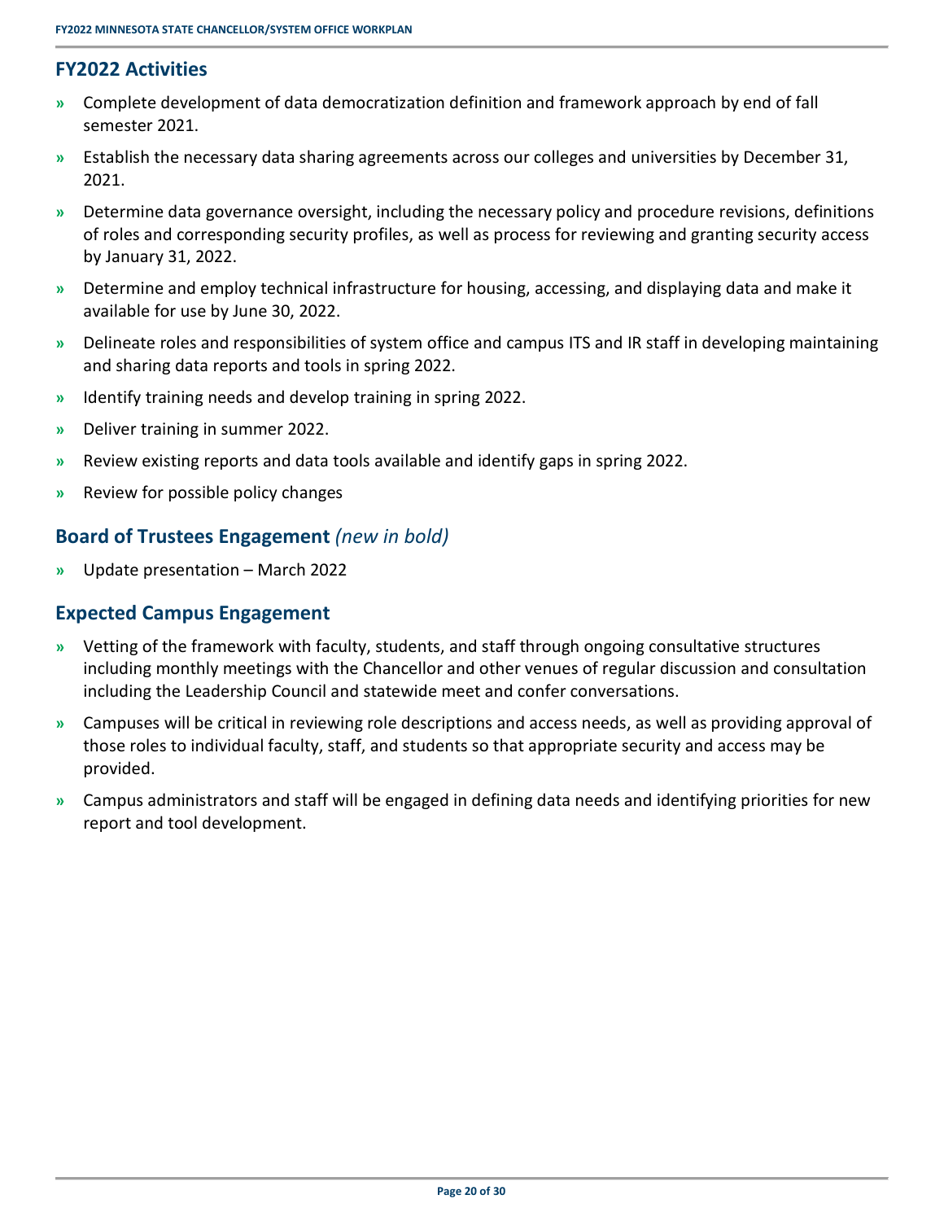### <span id="page-23-0"></span>**FY2022 Activities**

- **»** Complete development of data democratization definition and framework approach by end of fall semester 2021.
- **»** Establish the necessary data sharing agreements across our colleges and universities by December 31, 2021.
- **»** Determine data governance oversight, including the necessary policy and procedure revisions, definitions of roles and corresponding security profiles, as well as process for reviewing and granting security access by January 31, 2022.
- **»** Determine and employ technical infrastructure for housing, accessing, and displaying data and make it available for use by June 30, 2022.
- **»** Delineate roles and responsibilities of system office and campus ITS and IR staff in developing maintaining and sharing data reports and tools in spring 2022.
- **»** Identify training needs and develop training in spring 2022.
- **»** Deliver training in summer 2022.
- **»** Review existing reports and data tools available and identify gaps in spring 2022.
- <span id="page-23-1"></span>**»** Review for possible policy changes

#### **Board of Trustees Engagement** *(new in bold)*

<span id="page-23-2"></span>**»** Update presentation – March 2022

- **»** Vetting of the framework with faculty, students, and staff through ongoing consultative structures including monthly meetings with the Chancellor and other venues of regular discussion and consultation including the Leadership Council and statewide meet and confer conversations.
- **»** Campuses will be critical in reviewing role descriptions and access needs, as well as providing approval of those roles to individual faculty, staff, and students so that appropriate security and access may be provided.
- **»** Campus administrators and staff will be engaged in defining data needs and identifying priorities for new report and tool development.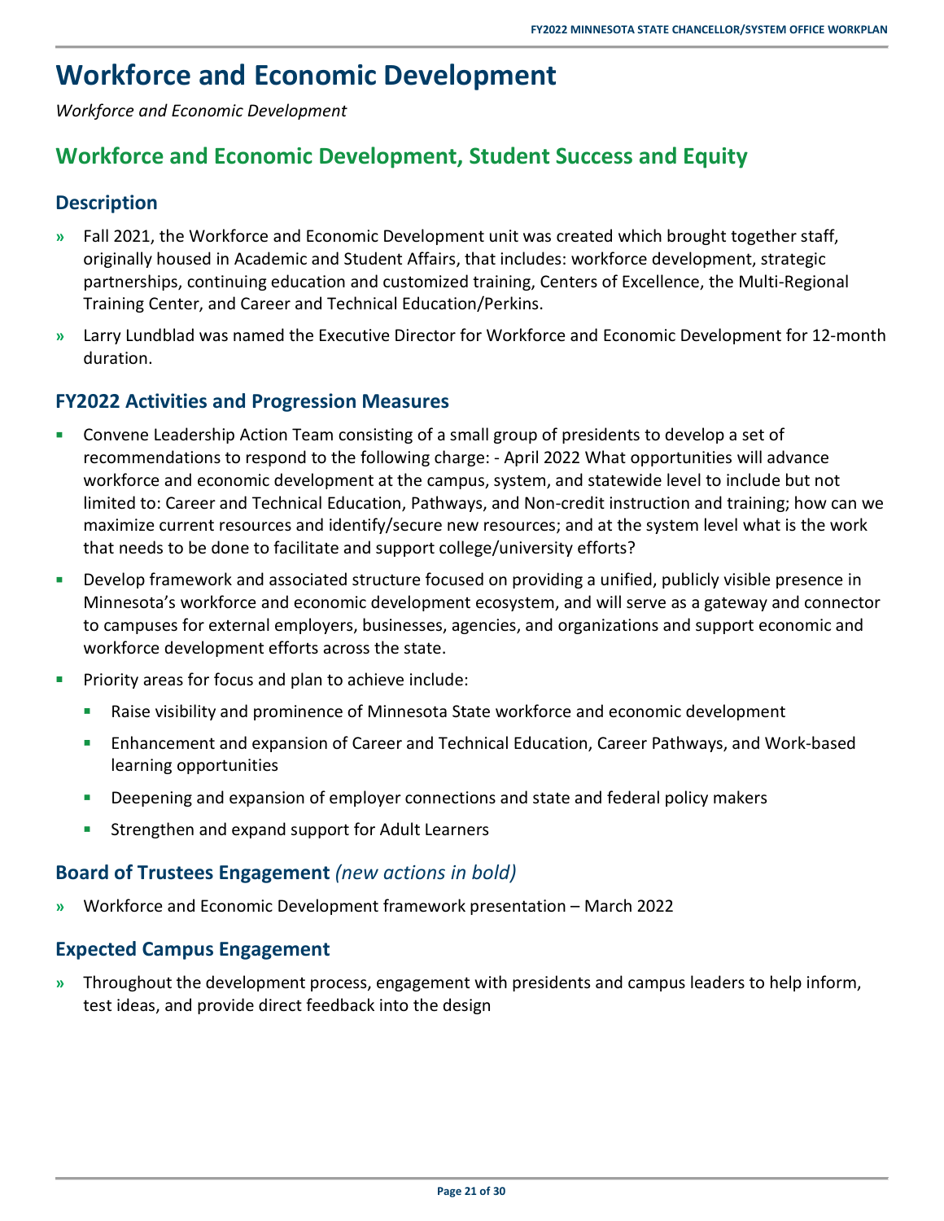# <span id="page-24-0"></span>**Workforce and Economic Development**

<span id="page-24-1"></span>*Workforce and Economic Development* 

### **Workforce and Economic Development, Student Success and Equity**

### <span id="page-24-2"></span>**Description**

- **»** Fall 2021, the Workforce and Economic Development unit was created which brought together staff, originally housed in Academic and Student Affairs, that includes: workforce development, strategic partnerships, continuing education and customized training, Centers of Excellence, the Multi-Regional Training Center, and Career and Technical Education/Perkins.
- **»** Larry Lundblad was named the Executive Director for Workforce and Economic Development for 12-month duration.

### <span id="page-24-3"></span>**FY2022 Activities and Progression Measures**

- Convene Leadership Action Team consisting of a small group of presidents to develop a set of recommendations to respond to the following charge: - April 2022 What opportunities will advance workforce and economic development at the campus, system, and statewide level to include but not limited to: Career and Technical Education, Pathways, and Non-credit instruction and training; how can we maximize current resources and identify/secure new resources; and at the system level what is the work that needs to be done to facilitate and support college/university efforts?
- **Develop framework and associated structure focused on providing a unified, publicly visible presence in** Minnesota's workforce and economic development ecosystem, and will serve as a gateway and connector to campuses for external employers, businesses, agencies, and organizations and support economic and workforce development efforts across the state.
- Priority areas for focus and plan to achieve include:
	- Raise visibility and prominence of Minnesota State workforce and economic development
	- Enhancement and expansion of Career and Technical Education, Career Pathways, and Work-based learning opportunities
	- Deepening and expansion of employer connections and state and federal policy makers
	- **Strengthen and expand support for Adult Learners**

### <span id="page-24-4"></span>**Board of Trustees Engagement** *(new actions in bold)*

<span id="page-24-5"></span>**»** Workforce and Economic Development framework presentation – March 2022

### **Expected Campus Engagement**

**»** Throughout the development process, engagement with presidents and campus leaders to help inform, test ideas, and provide direct feedback into the design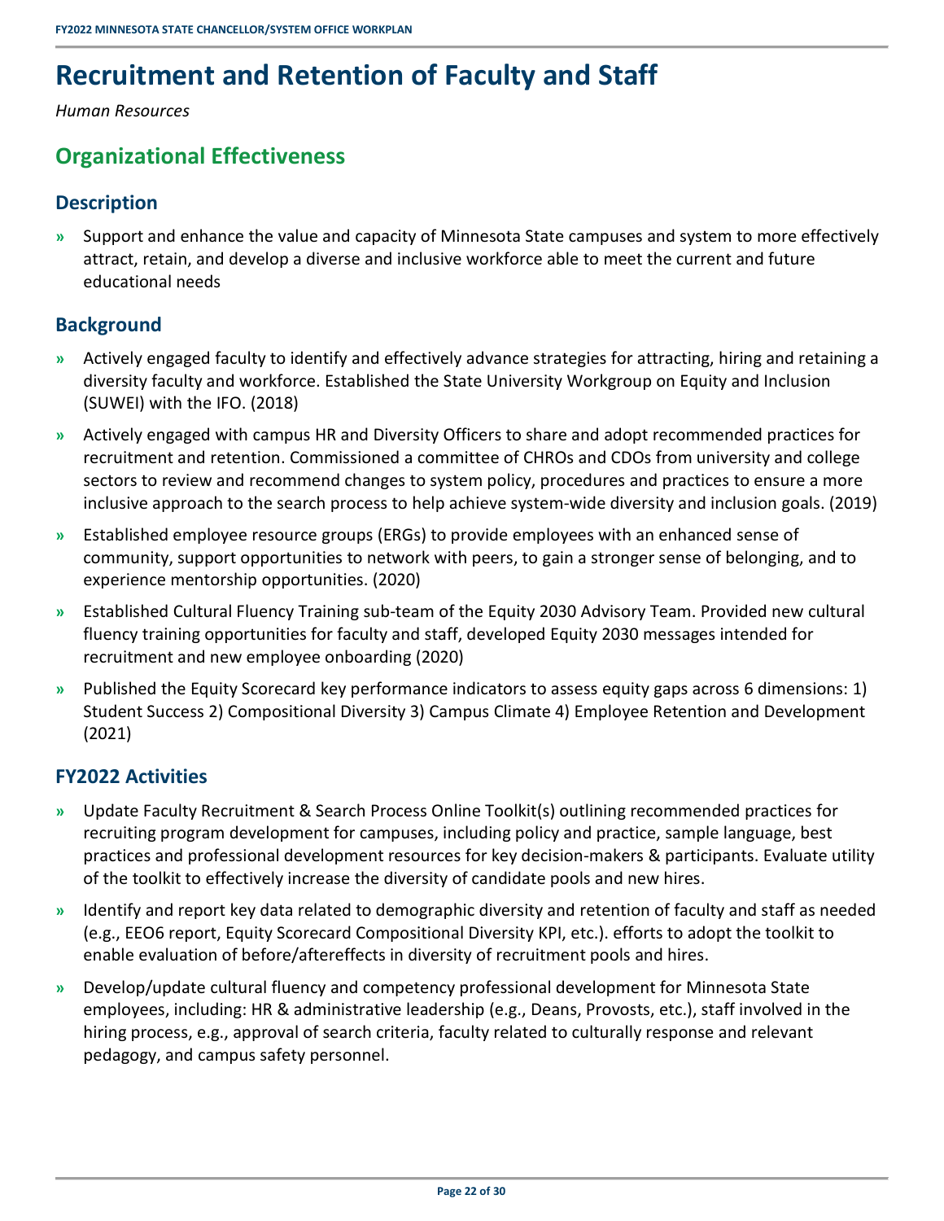# <span id="page-25-0"></span>**Recruitment and Retention of Faculty and Staff**

<span id="page-25-1"></span>*Human Resources* 

### **Organizational Effectiveness**

### <span id="page-25-2"></span>**Description**

**»** Support and enhance the value and capacity of Minnesota State campuses and system to more effectively attract, retain, and develop a diverse and inclusive workforce able to meet the current and future educational needs

### <span id="page-25-3"></span>**Background**

- **»** Actively engaged faculty to identify and effectively advance strategies for attracting, hiring and retaining a diversity faculty and workforce. Established the State University Workgroup on Equity and Inclusion (SUWEI) with the IFO. (2018)
- **»** Actively engaged with campus HR and Diversity Officers to share and adopt recommended practices for recruitment and retention. Commissioned a committee of CHROs and CDOs from university and college sectors to review and recommend changes to system policy, procedures and practices to ensure a more inclusive approach to the search process to help achieve system-wide diversity and inclusion goals. (2019)
- **»** Established employee resource groups (ERGs) to provide employees with an enhanced sense of community, support opportunities to network with peers, to gain a stronger sense of belonging, and to experience mentorship opportunities. (2020)
- **»** Established Cultural Fluency Training sub-team of the Equity 2030 Advisory Team. Provided new cultural fluency training opportunities for faculty and staff, developed Equity 2030 messages intended for recruitment and new employee onboarding (2020)
- **»** Published the Equity Scorecard key performance indicators to assess equity gaps across 6 dimensions: 1) Student Success 2) Compositional Diversity 3) Campus Climate 4) Employee Retention and Development (2021)

### <span id="page-25-4"></span>**FY2022 Activities**

- **»** Update Faculty Recruitment & Search Process Online Toolkit(s) outlining recommended practices for recruiting program development for campuses, including policy and practice, sample language, best practices and professional development resources for key decision-makers & participants. Evaluate utility of the toolkit to effectively increase the diversity of candidate pools and new hires.
- **»** Identify and report key data related to demographic diversity and retention of faculty and staff as needed (e.g., EEO6 report, Equity Scorecard Compositional Diversity KPI, etc.). efforts to adopt the toolkit to enable evaluation of before/aftereffects in diversity of recruitment pools and hires.
- **»** Develop/update cultural fluency and competency professional development for Minnesota State employees, including: HR & administrative leadership (e.g., Deans, Provosts, etc.), staff involved in the hiring process, e.g., approval of search criteria, faculty related to culturally response and relevant pedagogy, and campus safety personnel.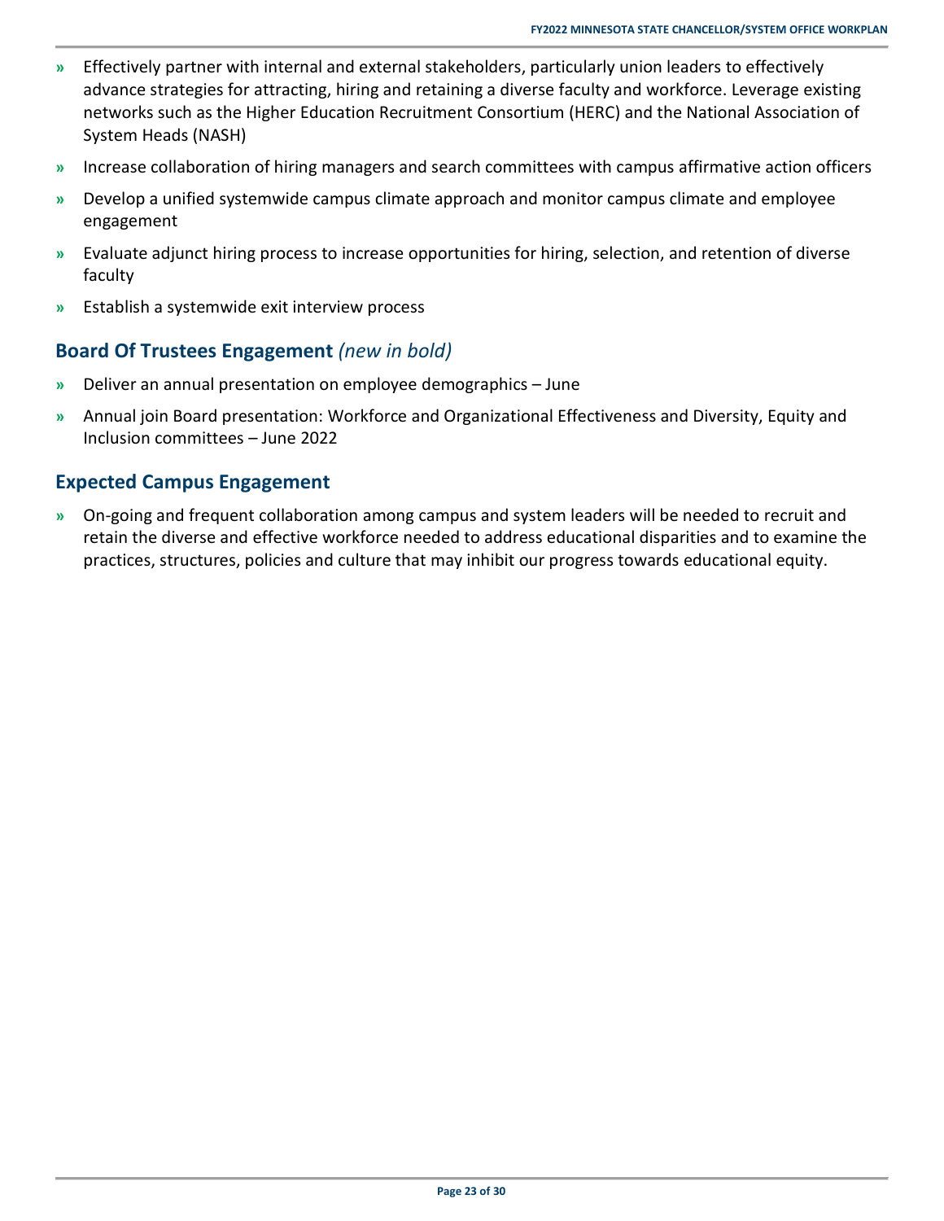- **»** Effectively partner with internal and external stakeholders, particularly union leaders to effectively advance strategies for attracting, hiring and retaining a diverse faculty and workforce. Leverage existing networks such as the Higher Education Recruitment Consortium (HERC) and the National Association of System Heads (NASH)
- **»** Increase collaboration of hiring managers and search committees with campus affirmative action officers
- **»** Develop a unified systemwide campus climate approach and monitor campus climate and employee engagement
- **»** Evaluate adjunct hiring process to increase opportunities for hiring, selection, and retention of diverse faculty
- <span id="page-26-0"></span>**»** Establish a systemwide exit interview process

### **Board Of Trustees Engagement** *(new in bold)*

- **»** Deliver an annual presentation on employee demographics June
- **»** Annual join Board presentation: Workforce and Organizational Effectiveness and Diversity, Equity and Inclusion committees – June 2022

### <span id="page-26-1"></span>**Expected Campus Engagement**

**»** On-going and frequent collaboration among campus and system leaders will be needed to recruit and retain the diverse and effective workforce needed to address educational disparities and to examine the practices, structures, policies and culture that may inhibit our progress towards educational equity.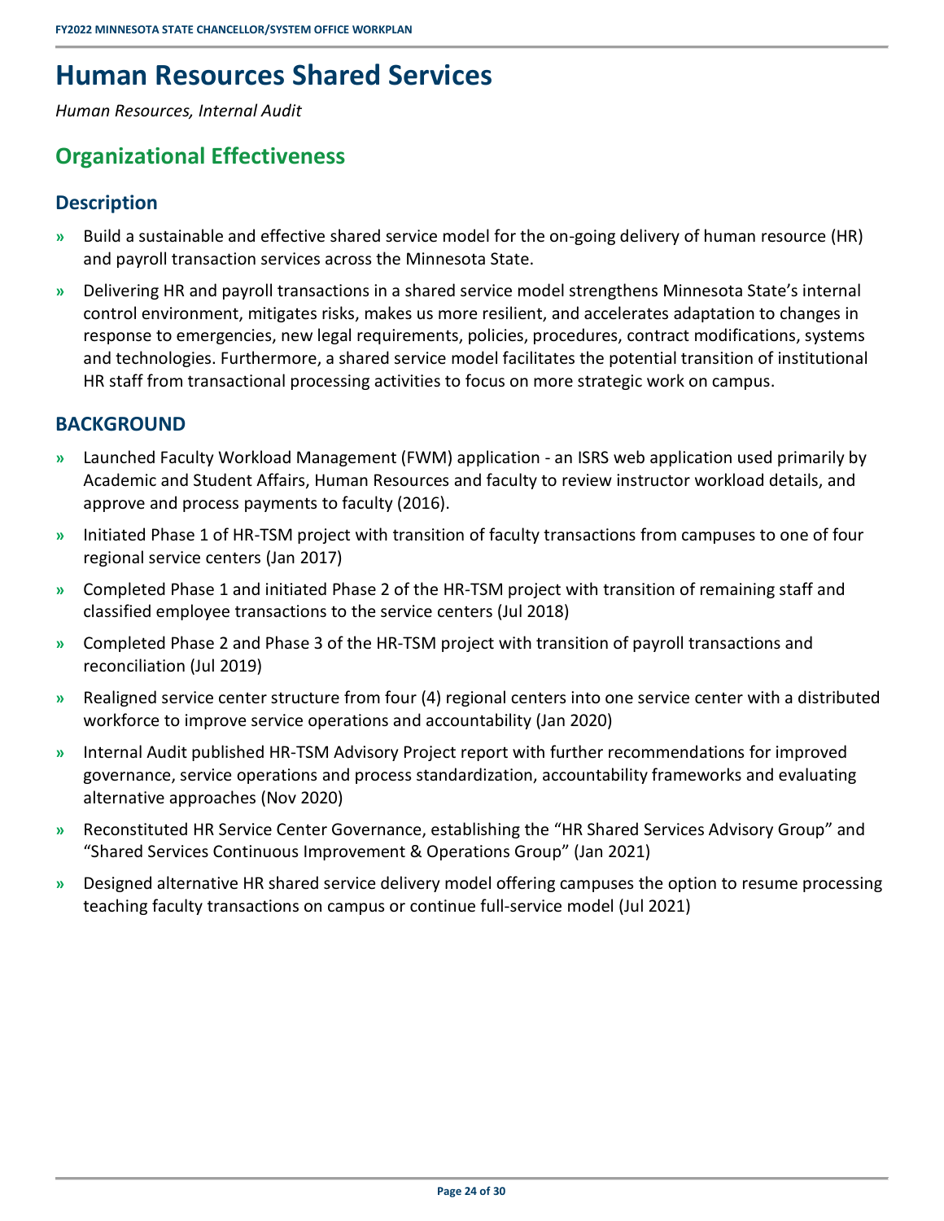# <span id="page-27-0"></span>**Human Resources Shared Services**

<span id="page-27-1"></span>*Human Resources, Internal Audit* 

### **Organizational Effectiveness**

### <span id="page-27-2"></span>**Description**

- **»** Build a sustainable and effective shared service model for the on-going delivery of human resource (HR) and payroll transaction services across the Minnesota State.
- **»** Delivering HR and payroll transactions in a shared service model strengthens Minnesota State's internal control environment, mitigates risks, makes us more resilient, and accelerates adaptation to changes in response to emergencies, new legal requirements, policies, procedures, contract modifications, systems and technologies. Furthermore, a shared service model facilitates the potential transition of institutional HR staff from transactional processing activities to focus on more strategic work on campus.

### <span id="page-27-3"></span>**BACKGROUND**

- **»** Launched Faculty Workload Management (FWM) application an ISRS web application used primarily by Academic and Student Affairs, Human Resources and faculty to review instructor workload details, and approve and process payments to faculty (2016).
- **»** Initiated Phase 1 of HR-TSM project with transition of faculty transactions from campuses to one of four regional service centers (Jan 2017)
- **»** Completed Phase 1 and initiated Phase 2 of the HR-TSM project with transition of remaining staff and classified employee transactions to the service centers (Jul 2018)
- **»** Completed Phase 2 and Phase 3 of the HR-TSM project with transition of payroll transactions and reconciliation (Jul 2019)
- **»** Realigned service center structure from four (4) regional centers into one service center with a distributed workforce to improve service operations and accountability (Jan 2020)
- **»** Internal Audit published HR-TSM Advisory Project report with further recommendations for improved governance, service operations and process standardization, accountability frameworks and evaluating alternative approaches (Nov 2020)
- **»** Reconstituted HR Service Center Governance, establishing the "HR Shared Services Advisory Group" and "Shared Services Continuous Improvement & Operations Group" (Jan 2021)
- **»** Designed alternative HR shared service delivery model offering campuses the option to resume processing teaching faculty transactions on campus or continue full-service model (Jul 2021)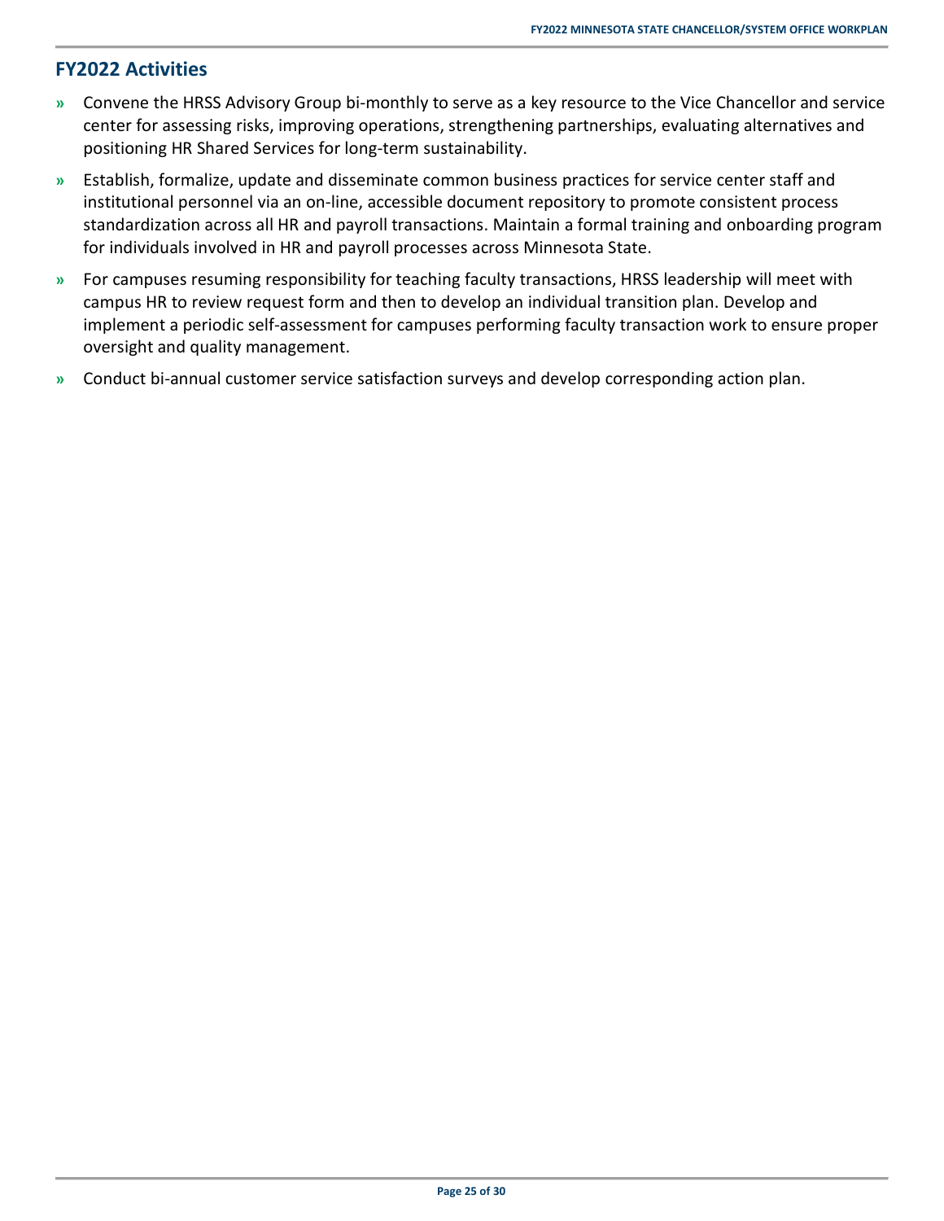### <span id="page-28-0"></span>**FY2022 Activities**

- **»** Convene the HRSS Advisory Group bi-monthly to serve as a key resource to the Vice Chancellor and service center for assessing risks, improving operations, strengthening partnerships, evaluating alternatives and positioning HR Shared Services for long-term sustainability.
- **»** Establish, formalize, update and disseminate common business practices for service center staff and institutional personnel via an on-line, accessible document repository to promote consistent process standardization across all HR and payroll transactions. Maintain a formal training and onboarding program for individuals involved in HR and payroll processes across Minnesota State.
- **»** For campuses resuming responsibility for teaching faculty transactions, HRSS leadership will meet with campus HR to review request form and then to develop an individual transition plan. Develop and implement a periodic self-assessment for campuses performing faculty transaction work to ensure proper oversight and quality management.
- **»** Conduct bi-annual customer service satisfaction surveys and develop corresponding action plan.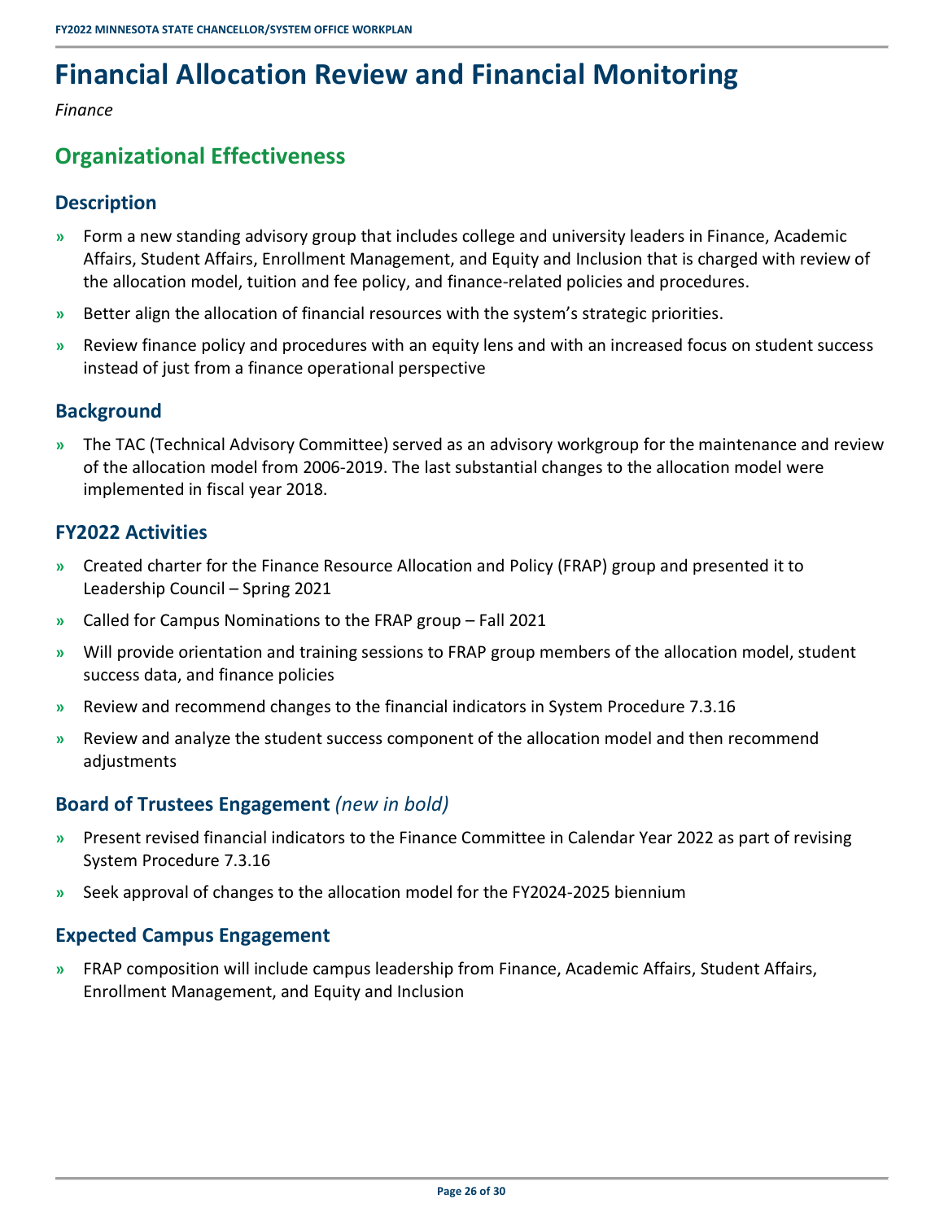# <span id="page-29-0"></span>**Financial Allocation Review and Financial Monitoring**

<span id="page-29-1"></span>*Finance* 

### **Organizational Effectiveness**

### <span id="page-29-2"></span>**Description**

- **»** Form a new standing advisory group that includes college and university leaders in Finance, Academic Affairs, Student Affairs, Enrollment Management, and Equity and Inclusion that is charged with review of the allocation model, tuition and fee policy, and finance-related policies and procedures.
- **»** Better align the allocation of financial resources with the system's strategic priorities.
- **»** Review finance policy and procedures with an equity lens and with an increased focus on student success instead of just from a finance operational perspective

### <span id="page-29-3"></span>**Background**

**»** The TAC (Technical Advisory Committee) served as an advisory workgroup for the maintenance and review of the allocation model from 2006-2019. The last substantial changes to the allocation model were implemented in fiscal year 2018.

### <span id="page-29-4"></span>**FY2022 Activities**

- **»** Created charter for the Finance Resource Allocation and Policy (FRAP) group and presented it to Leadership Council – Spring 2021
- **»** Called for Campus Nominations to the FRAP group Fall 2021
- **»** Will provide orientation and training sessions to FRAP group members of the allocation model, student success data, and finance policies
- **»** Review and recommend changes to the financial indicators in System Procedure 7.3.16
- **»** Review and analyze the student success component of the allocation model and then recommend adjustments

### <span id="page-29-5"></span>**Board of Trustees Engagement** *(new in bold)*

- **»** Present revised financial indicators to the Finance Committee in Calendar Year 2022 as part of revising System Procedure 7.3.16
- <span id="page-29-6"></span>**»** Seek approval of changes to the allocation model for the FY2024-2025 biennium

### **Expected Campus Engagement**

**»** FRAP composition will include campus leadership from Finance, Academic Affairs, Student Affairs, Enrollment Management, and Equity and Inclusion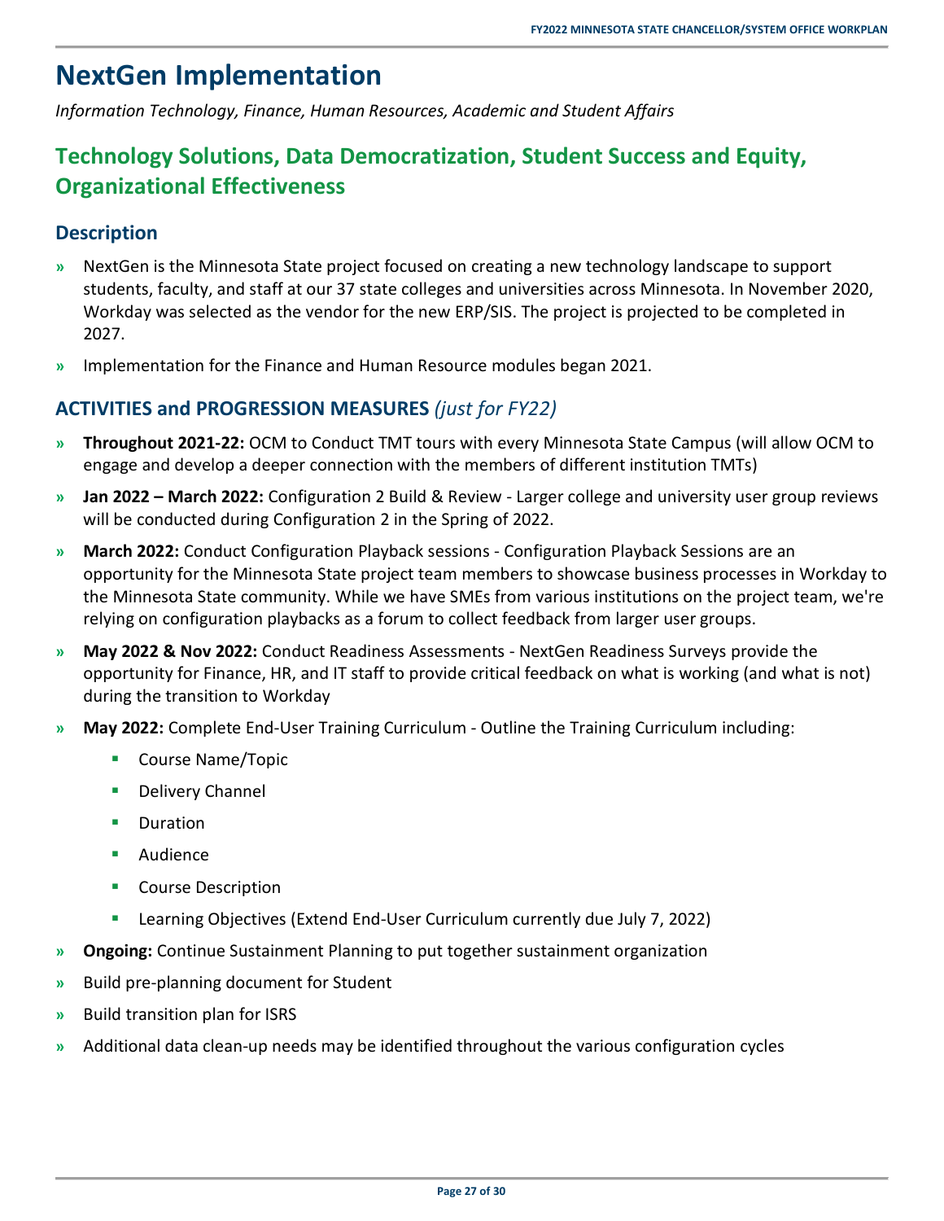## <span id="page-30-0"></span>**NextGen Implementation**

<span id="page-30-1"></span>*Information Technology, Finance, Human Resources, Academic and Student Affairs* 

### **Technology Solutions, Data Democratization, Student Success and Equity, Organizational Effectiveness**

### <span id="page-30-2"></span>**Description**

- **»** NextGen is the Minnesota State project focused on creating a new technology landscape to support students, faculty, and staff at our 37 state colleges and universities across Minnesota. In November 2020, Workday was selected as the vendor for the new ERP/SIS. The project is projected to be completed in 2027.
- <span id="page-30-3"></span>**»** Implementation for the Finance and Human Resource modules began 2021.

### **ACTIVITIES and PROGRESSION MEASURES** *(just for FY22)*

- **» Throughout 2021-22:** OCM to Conduct TMT tours with every Minnesota State Campus (will allow OCM to engage and develop a deeper connection with the members of different institution TMTs)
- **» Jan 2022 March 2022:** Configuration 2 Build & Review Larger college and university user group reviews will be conducted during Configuration 2 in the Spring of 2022.
- **» March 2022:** Conduct Configuration Playback sessions Configuration Playback Sessions are an opportunity for the Minnesota State project team members to showcase business processes in Workday to the Minnesota State community. While we have SMEs from various institutions on the project team, we're relying on configuration playbacks as a forum to collect feedback from larger user groups.
- **» May 2022 & Nov 2022:** Conduct Readiness Assessments NextGen Readiness Surveys provide the opportunity for Finance, HR, and IT staff to provide critical feedback on what is working (and what is not) during the transition to Workday
- **» May 2022:** Complete End-User Training Curriculum Outline the Training Curriculum including:
	- **Course Name/Topic**
	- **Delivery Channel**
	- Duration
	- Audience
	- Course Description
	- Learning Objectives (Extend End-User Curriculum currently due July 7, 2022)
- **» Ongoing:** Continue Sustainment Planning to put together sustainment organization
- **»** Build pre-planning document for Student
- **»** Build transition plan for ISRS
- **»** Additional data clean-up needs may be identified throughout the various configuration cycles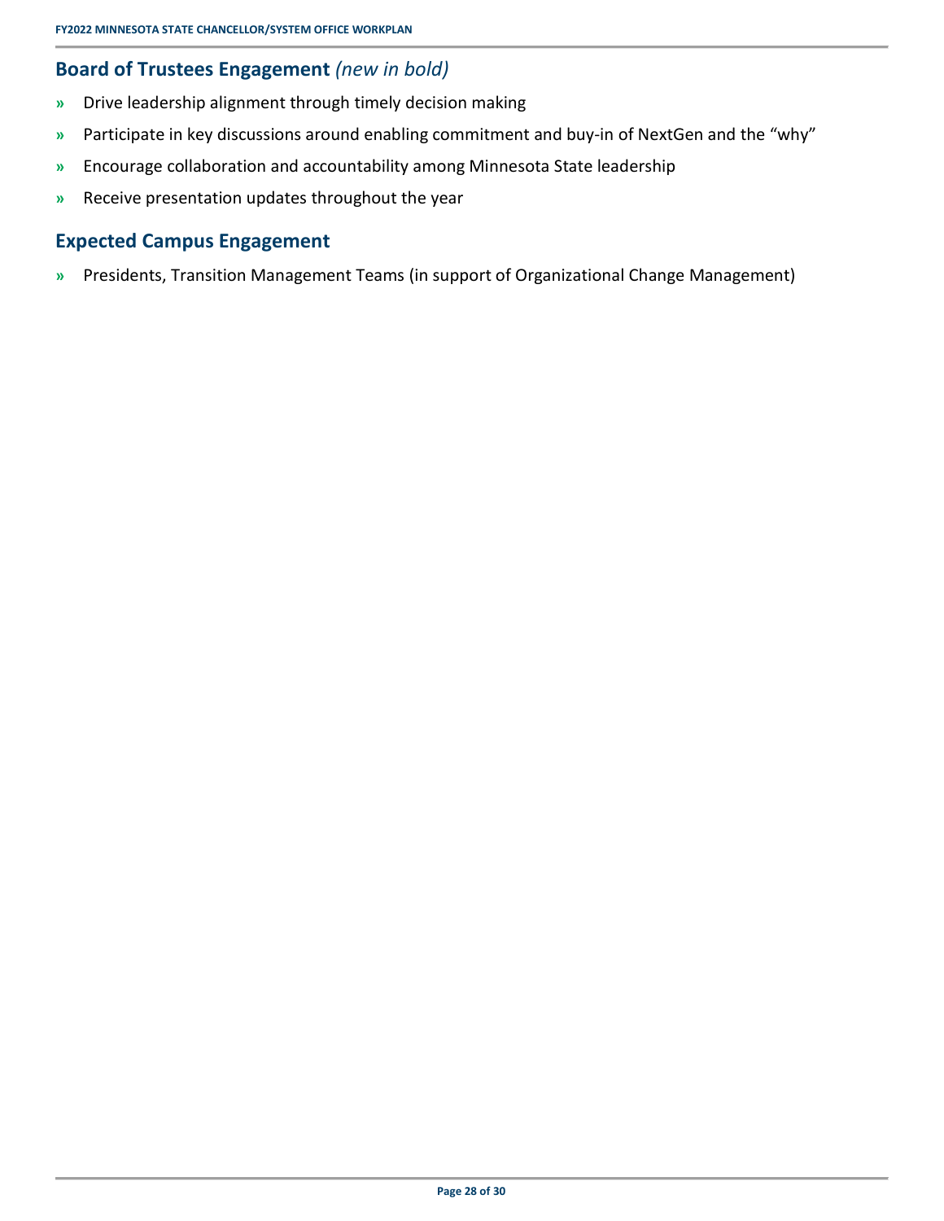### <span id="page-31-0"></span>**Board of Trustees Engagement** *(new in bold)*

- **»** Drive leadership alignment through timely decision making
- **»** Participate in key discussions around enabling commitment and buy-in of NextGen and the "why"
- **»** Encourage collaboration and accountability among Minnesota State leadership
- <span id="page-31-1"></span>**»** Receive presentation updates throughout the year

### **Expected Campus Engagement**

**»** Presidents, Transition Management Teams (in support of Organizational Change Management)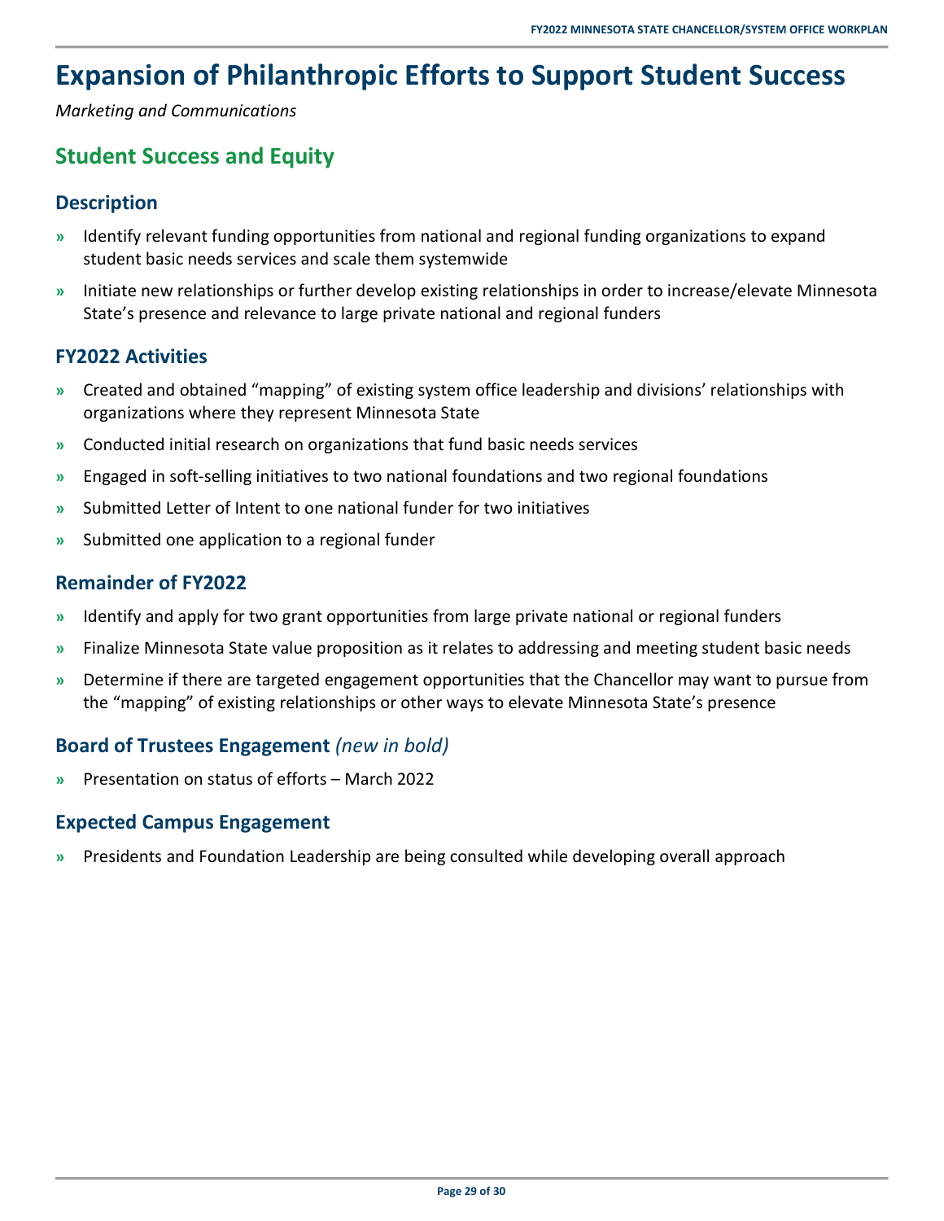# <span id="page-32-0"></span>**Expansion of Philanthropic Efforts to Support Student Success**

<span id="page-32-1"></span>*Marketing and Communications* 

### **Student Success and Equity**

### <span id="page-32-2"></span>**Description**

- **»** Identify relevant funding opportunities from national and regional funding organizations to expand student basic needs services and scale them systemwide
- **»** Initiate new relationships or further develop existing relationships in order to increase/elevate Minnesota State's presence and relevance to large private national and regional funders

### <span id="page-32-3"></span>**FY2022 Activities**

- **»** Created and obtained "mapping" of existing system office leadership and divisions' relationships with organizations where they represent Minnesota State
- **»** Conducted initial research on organizations that fund basic needs services
- **»** Engaged in soft-selling initiatives to two national foundations and two regional foundations
- **»** Submitted Letter of Intent to one national funder for two initiatives
- <span id="page-32-4"></span>**»** Submitted one application to a regional funder

### **Remainder of FY2022**

- **»** Identify and apply for two grant opportunities from large private national or regional funders
- **»** Finalize Minnesota State value proposition as it relates to addressing and meeting student basic needs
- **»** Determine if there are targeted engagement opportunities that the Chancellor may want to pursue from the "mapping" of existing relationships or other ways to elevate Minnesota State's presence

### <span id="page-32-5"></span>**Board of Trustees Engagement** *(new in bold)*

<span id="page-32-6"></span>**»** Presentation on status of efforts – March 2022

### **Expected Campus Engagement**

**»** Presidents and Foundation Leadership are being consulted while developing overall approach